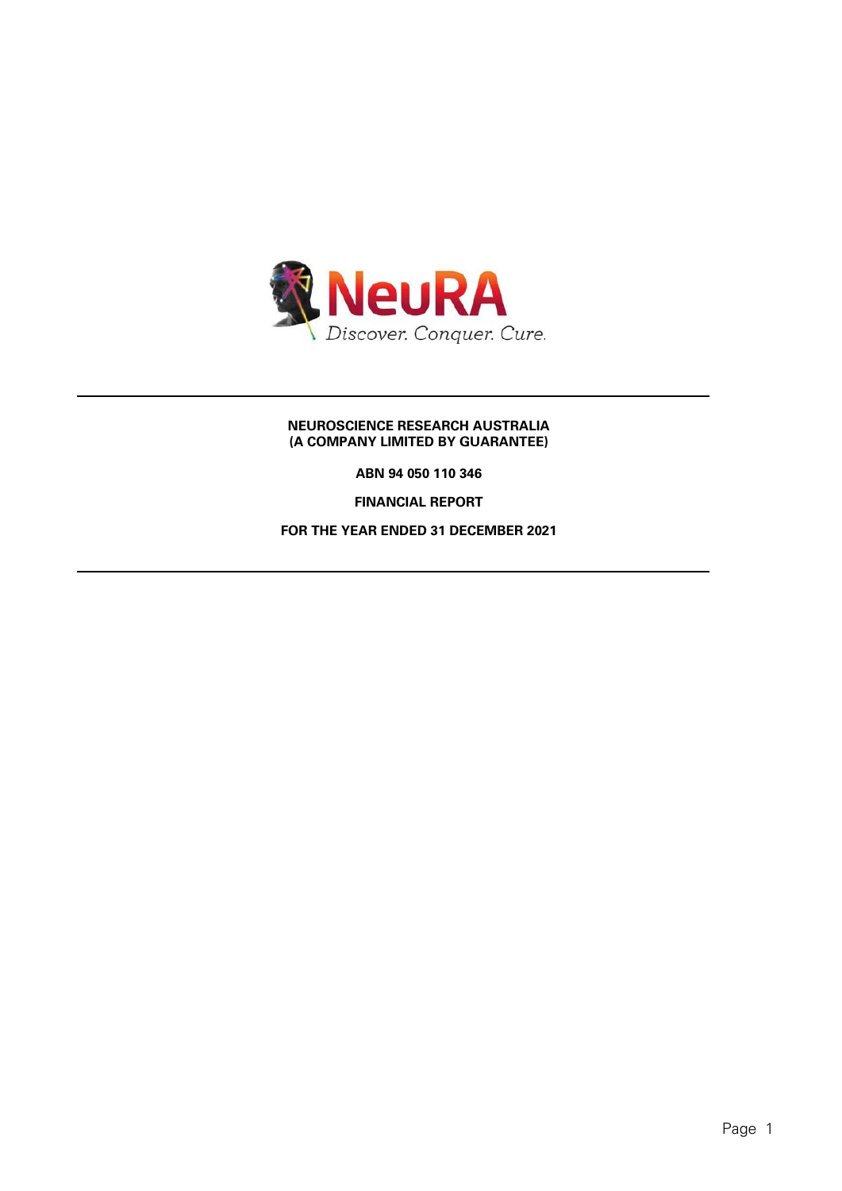

# **NEUROSCIENCE RESEARCH AUSTRALIA (A COMPANY LIMITED BY GUARANTEE)**

**ABN 94 050 110 346**

**FINANCIAL REPORT**

**FOR THE YEAR ENDED 31 DECEMBER 2021**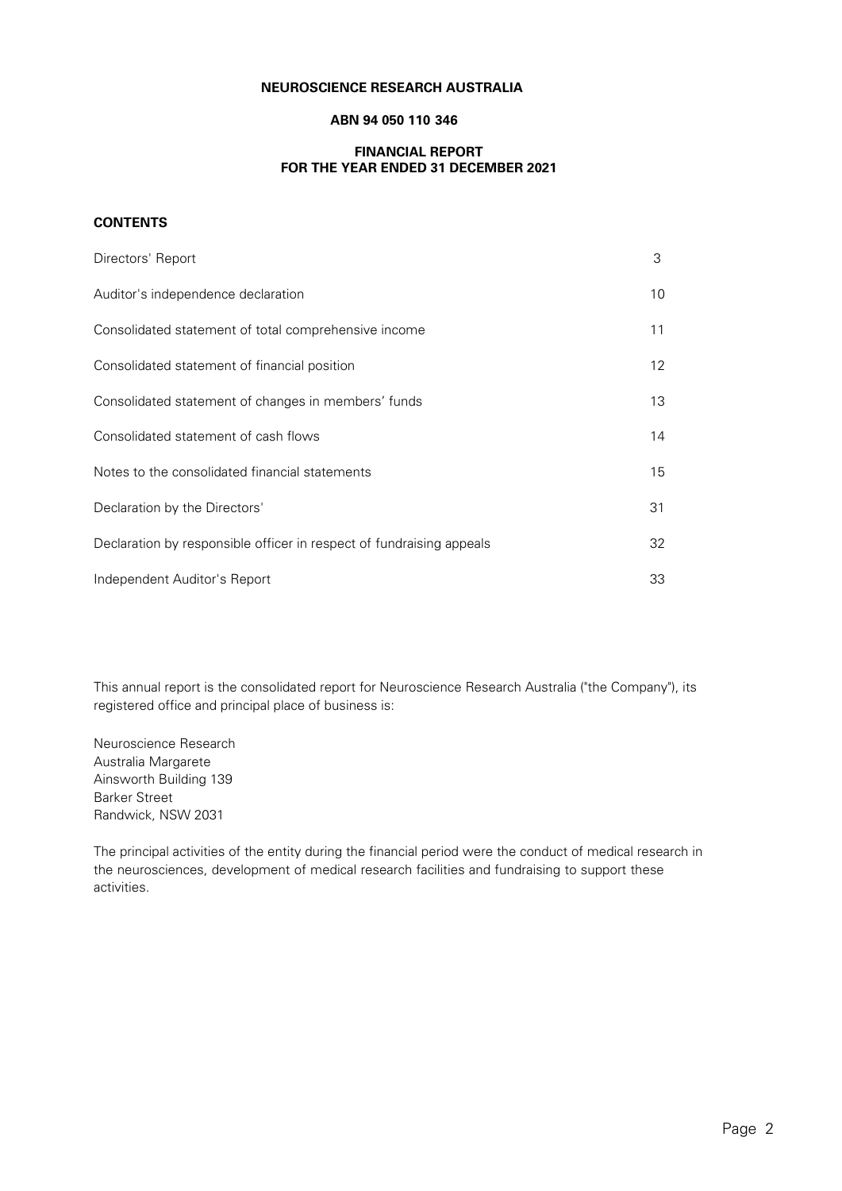### **NEUROSCIENCE RESEARCH AUSTRALIA**

# **ABN 94 050 110 346**

# **FINANCIAL REPORT FOR THE YEAR ENDED 31 DECEMBER 2021**

#### **CONTENTS**

| Directors' Report                                                    | 3                 |
|----------------------------------------------------------------------|-------------------|
| Auditor's independence declaration                                   | 10                |
| Consolidated statement of total comprehensive income                 | 11                |
| Consolidated statement of financial position                         | $12 \overline{ }$ |
| Consolidated statement of changes in members' funds                  | 13                |
| Consolidated statement of cash flows                                 | 14                |
| Notes to the consolidated financial statements                       | 15                |
| Declaration by the Directors'                                        | 31                |
| Declaration by responsible officer in respect of fundraising appeals | 32                |
| Independent Auditor's Report                                         | 33                |

This annual report is the consolidated report for Neuroscience Research Australia ("the Company"), its registered office and principal place of business is:

Neuroscience Research Australia Margarete Ainsworth Building 139 Barker Street Randwick, NSW 2031

The principal activities of the entity during the financial period were the conduct of medical research in the neurosciences, development of medical research facilities and fundraising to support these activities.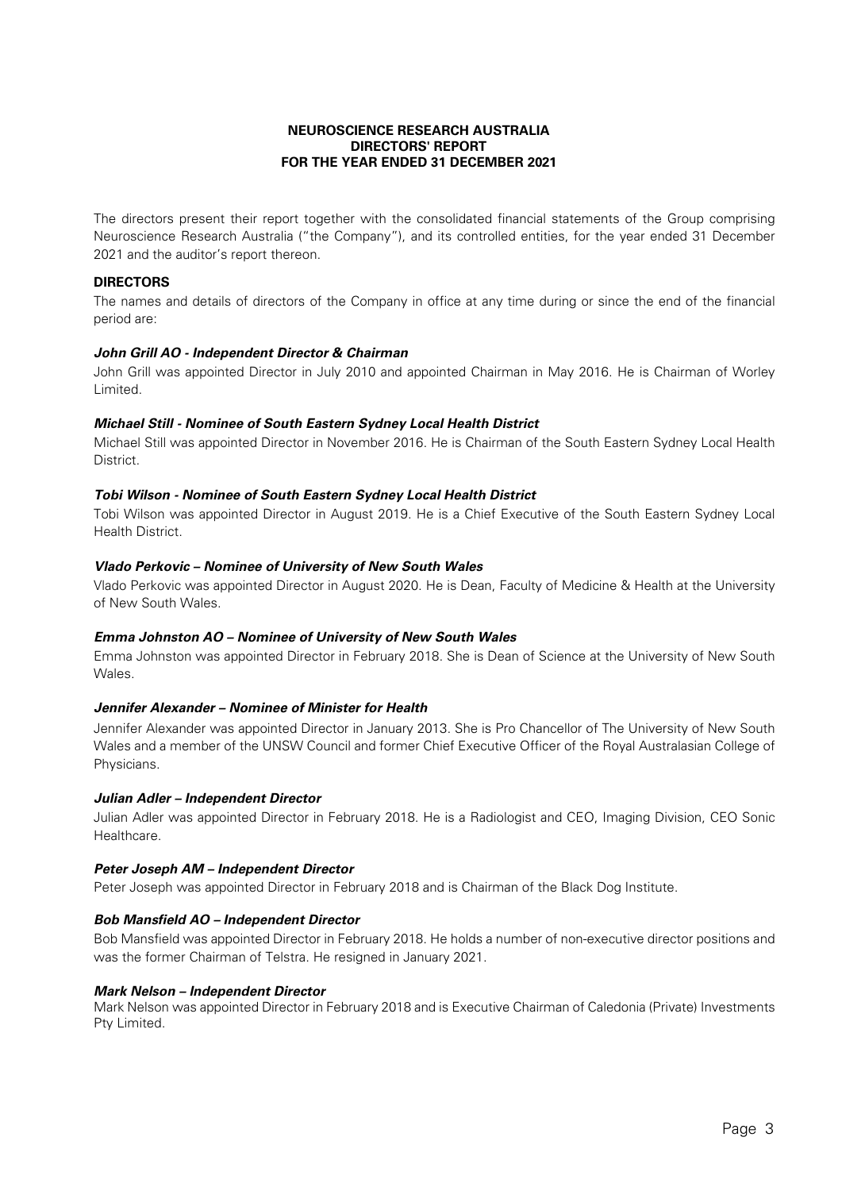The directors present their report together with the consolidated financial statements of the Group comprising Neuroscience Research Australia ("the Company"), and its controlled entities, for the year ended 31 December 2021 and the auditor's report thereon.

# **DIRECTORS**

The names and details of directors of the Company in office at any time during or since the end of the financial period are:

# **John Grill AO - Independent Director & Chairman**

John Grill was appointed Director in July 2010 and appointed Chairman in May 2016. He is Chairman of Worley Limited.

# **Michael Still - Nominee of South Eastern Sydney Local Health District**

Michael Still was appointed Director in November 2016. He is Chairman of the South Eastern Sydney Local Health District.

# **Tobi Wilson - Nominee of South Eastern Sydney Local Health District**

Tobi Wilson was appointed Director in August 2019. He is a Chief Executive of the South Eastern Sydney Local Health District.

# **Vlado Perkovic – Nominee of University of New South Wales**

Vlado Perkovic was appointed Director in August 2020. He is Dean, Faculty of Medicine & Health at the University of New South Wales.

# **Emma Johnston AO – Nominee of University of New South Wales**

Emma Johnston was appointed Director in February 2018. She is Dean of Science at the University of New South Wales.

# **Jennifer Alexander – Nominee of Minister for Health**

Jennifer Alexander was appointed Director in January 2013. She is Pro Chancellor of The University of New South Wales and a member of the UNSW Council and former Chief Executive Officer of the Royal Australasian College of Physicians.

### **Julian Adler – Independent Director**

Julian Adler was appointed Director in February 2018. He is a Radiologist and CEO, Imaging Division, CEO Sonic Healthcare.

### **Peter Joseph AM – Independent Director**

Peter Joseph was appointed Director in February 2018 and is Chairman of the Black Dog Institute.

# **Bob Mansfield AO – Independent Director**

Bob Mansfield was appointed Director in February 2018. He holds a number of non-executive director positions and was the former Chairman of Telstra. He resigned in January 2021.

### **Mark Nelson – Independent Director**

Mark Nelson was appointed Director in February 2018 and is Executive Chairman of Caledonia (Private) Investments Pty Limited.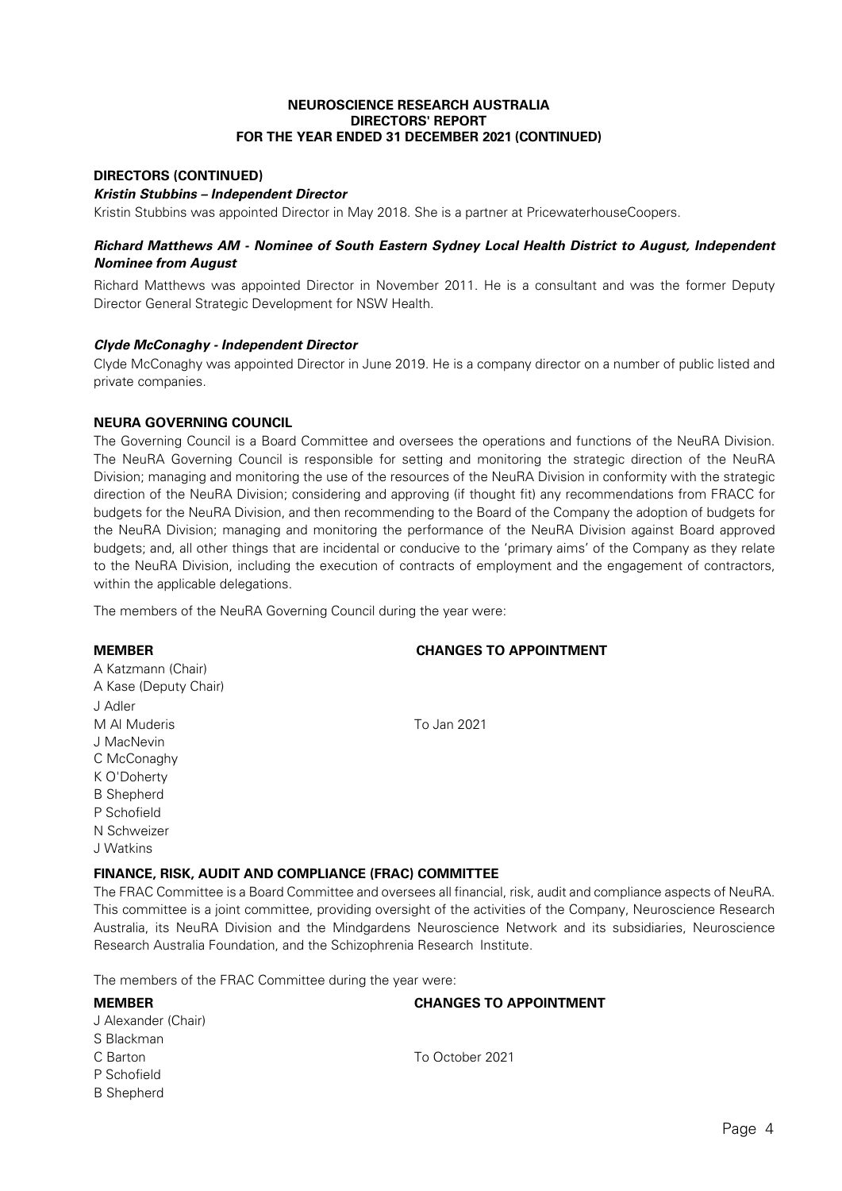# **DIRECTORS (CONTINUED)**

#### **Kristin Stubbins – Independent Director**

Kristin Stubbins was appointed Director in May 2018. She is a partner at PricewaterhouseCoopers.

# **Richard Matthews AM - Nominee of South Eastern Sydney Local Health District to August, Independent Nominee from August**

Richard Matthews was appointed Director in November 2011. He is a consultant and was the former Deputy Director General Strategic Development for NSW Health.

### **Clyde McConaghy - Independent Director**

Clyde McConaghy was appointed Director in June 2019. He is a company director on a number of public listed and private companies.

### **NEURA GOVERNING COUNCIL**

The Governing Council is a Board Committee and oversees the operations and functions of the NeuRA Division. The NeuRA Governing Council is responsible for setting and monitoring the strategic direction of the NeuRA Division; managing and monitoring the use of the resources of the NeuRA Division in conformity with the strategic direction of the NeuRA Division; considering and approving (if thought fit) any recommendations from FRACC for budgets for the NeuRA Division, and then recommending to the Board of the Company the adoption of budgets for the NeuRA Division; managing and monitoring the performance of the NeuRA Division against Board approved budgets; and, all other things that are incidental or conducive to the 'primary aims' of the Company as they relate to the NeuRA Division, including the execution of contracts of employment and the engagement of contractors, within the applicable delegations.

The members of the NeuRA Governing Council during the year were:

### **MEMBER CHANGES TO APPOINTMENT**

A Katzmann (Chair) A Kase (Deputy Chair) J Adler M Al Muderis To Jan 2021 J MacNevin C McConaghy K O'Doherty B Shepherd P Schofield N Schweizer J Watkins

# **FINANCE, RISK, AUDIT AND COMPLIANCE (FRAC) COMMITTEE**

The FRAC Committee is a Board Committee and oversees all financial, risk, audit and compliance aspects of NeuRA. This committee is a joint committee, providing oversight of the activities of the Company, Neuroscience Research Australia, its NeuRA Division and the Mindgardens Neuroscience Network and its subsidiaries, Neuroscience Research Australia Foundation, and the Schizophrenia Research Institute.

The members of the FRAC Committee during the year were:

| <b>MEMBER</b>       | <b>CHANGES TO APPOINTMENT</b> |  |  |  |  |
|---------------------|-------------------------------|--|--|--|--|
| J Alexander (Chair) |                               |  |  |  |  |
| S Blackman          |                               |  |  |  |  |
| C Barton            | To October 2021               |  |  |  |  |
| P Schofield         |                               |  |  |  |  |
| <b>B</b> Shepherd   |                               |  |  |  |  |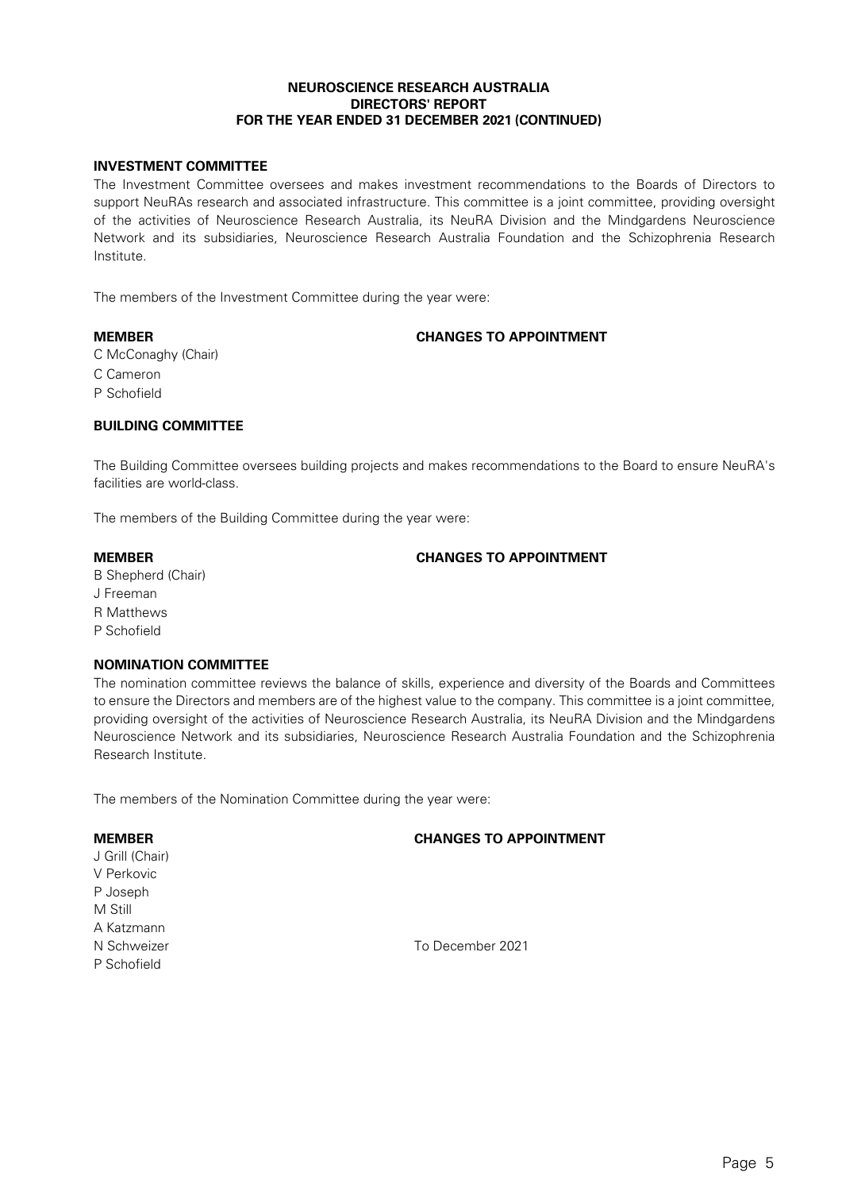# **INVESTMENT COMMITTEE**

The Investment Committee oversees and makes investment recommendations to the Boards of Directors to support NeuRAs research and associated infrastructure. This committee is a joint committee, providing oversight of the activities of Neuroscience Research Australia, its NeuRA Division and the Mindgardens Neuroscience Network and its subsidiaries, Neuroscience Research Australia Foundation and the Schizophrenia Research Institute.

The members of the Investment Committee during the year were:

# **MEMBER CHANGES TO APPOINTMENT**

C McConaghy (Chair)

- C Cameron
- P Schofield

# **BUILDING COMMITTEE**

The Building Committee oversees building projects and makes recommendations to the Board to ensure NeuRA's facilities are world-class.

The members of the Building Committee during the year were:

# **MEMBER CHANGES TO APPOINTMENT**

- B Shepherd (Chair)
- J Freeman
- R Matthews
- P Schofield

M Still

P Schofield

# **NOMINATION COMMITTEE**

The nomination committee reviews the balance of skills, experience and diversity of the Boards and Committees to ensure the Directors and members are of the highest value to the company. This committee is a joint committee, providing oversight of the activities of Neuroscience Research Australia, its NeuRA Division and the Mindgardens Neuroscience Network and its subsidiaries, Neuroscience Research Australia Foundation and the Schizophrenia Research Institute.

The members of the Nomination Committee during the year were:

# **MEMBER CHANGES TO APPOINTMENT** J Grill (Chair) V Perkovic P Joseph A Katzmann

N Schweizer To December 2021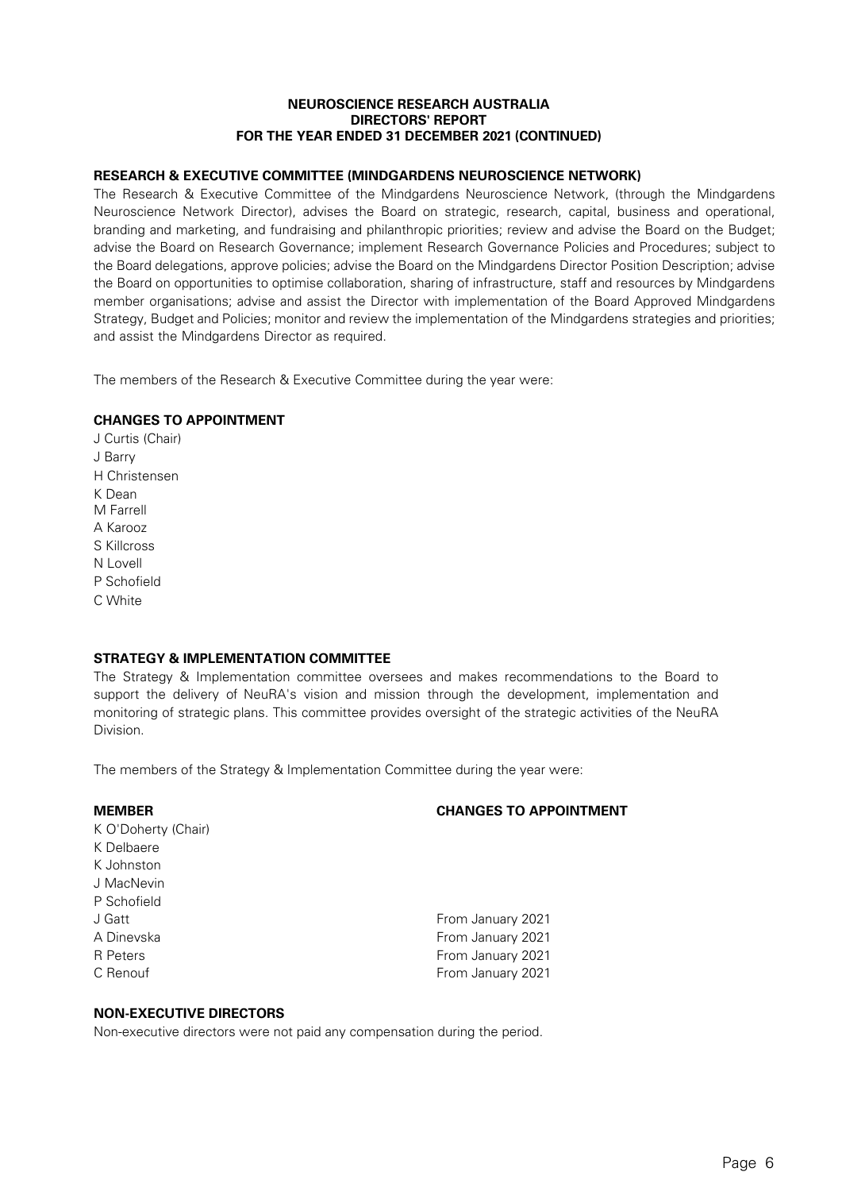# **RESEARCH & EXECUTIVE COMMITTEE (MINDGARDENS NEUROSCIENCE NETWORK)**

The Research & Executive Committee of the Mindgardens Neuroscience Network, (through the Mindgardens Neuroscience Network Director), advises the Board on strategic, research, capital, business and operational, branding and marketing, and fundraising and philanthropic priorities; review and advise the Board on the Budget; advise the Board on Research Governance; implement Research Governance Policies and Procedures; subject to the Board delegations, approve policies; advise the Board on the Mindgardens Director Position Description; advise the Board on opportunities to optimise collaboration, sharing of infrastructure, staff and resources by Mindgardens member organisations; advise and assist the Director with implementation of the Board Approved Mindgardens Strategy, Budget and Policies; monitor and review the implementation of the Mindgardens strategies and priorities; and assist the Mindgardens Director as required.

The members of the Research & Executive Committee during the year were:

# **CHANGES TO APPOINTMENT**

J Curtis (Chair) J Barry H Christensen K Dean M Farrell A Karooz S Killcross N Lovell P Schofield C White

# **STRATEGY & IMPLEMENTATION COMMITTEE**

The Strategy & Implementation committee oversees and makes recommendations to the Board to support the delivery of NeuRA's vision and mission through the development, implementation and monitoring of strategic plans. This committee provides oversight of the strategic activities of the NeuRA Division.

The members of the Strategy & Implementation Committee during the year were:

| <b>MEMBER</b>       | <b>CHANGES TO APPOINTMENT</b> |
|---------------------|-------------------------------|
| K O'Doherty (Chair) |                               |
| K Delbaere          |                               |
| K Johnston          |                               |
| J MacNevin          |                               |
| P Schofield         |                               |
| J Gatt              | From January 2021             |
| A Dinevska          | From January 2021             |
| R Peters            | From January 2021             |
| C Renouf            | From January 2021             |
|                     |                               |

# **NON-EXECUTIVE DIRECTORS**

Non-executive directors were not paid any compensation during the period.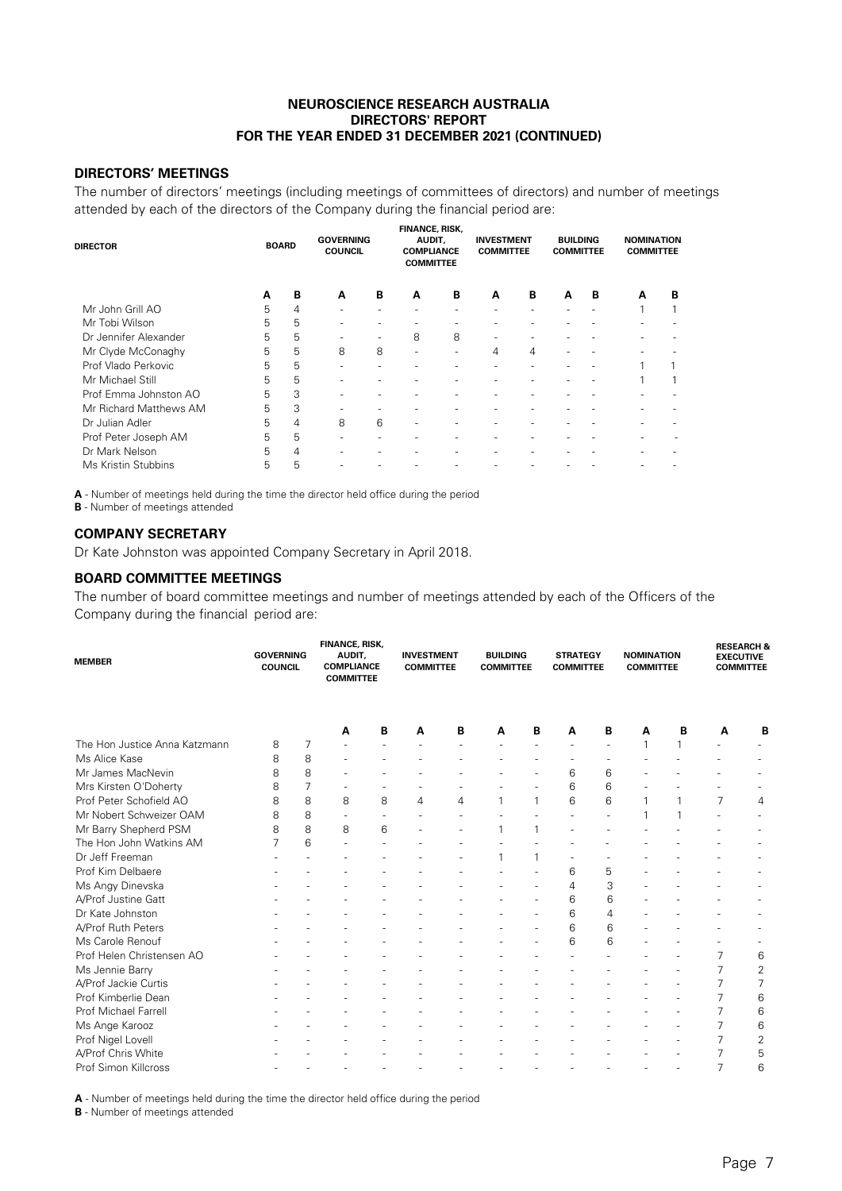# **DIRECTORS' MEETINGS**

The number of directors' meetings (including meetings of committees of directors) and number of meetings attended by each of the directors of the Company during the financial period are:

| <b>DIRECTOR</b>        | <b>BOARD</b> |   | <b>GOVERNING</b><br><b>COUNCIL</b> |   | <b>FINANCE, RISK,</b><br>AUDIT,<br><b>COMPLIANCE</b><br><b>COMMITTEE</b> |   | <b>INVESTMENT</b><br><b>COMMITTEE</b> |   | <b>BUILDING</b><br><b>COMMITTEE</b> |   | <b>NOMINATION</b><br><b>COMMITTEE</b> |   |
|------------------------|--------------|---|------------------------------------|---|--------------------------------------------------------------------------|---|---------------------------------------|---|-------------------------------------|---|---------------------------------------|---|
|                        | A            | B | A                                  | в | A                                                                        | B | A                                     | В | A                                   | B | A                                     | B |
| Mr John Grill AO       | 5            | 4 |                                    |   |                                                                          |   |                                       |   |                                     |   |                                       |   |
| Mr Tobi Wilson         | 5            | 5 |                                    |   |                                                                          |   |                                       |   |                                     |   |                                       |   |
| Dr Jennifer Alexander  | 5            | 5 |                                    |   | 8                                                                        | 8 |                                       |   |                                     |   |                                       |   |
| Mr Clyde McConaghy     | 5            | 5 | 8                                  | 8 |                                                                          |   | 4                                     | 4 |                                     |   |                                       |   |
| Prof Vlado Perkovic    | 5            | 5 |                                    |   |                                                                          |   |                                       |   |                                     |   |                                       |   |
| Mr Michael Still       | 5            | 5 |                                    |   |                                                                          |   |                                       |   |                                     |   |                                       |   |
| Prof Emma Johnston AO  | 5            | 3 |                                    |   |                                                                          |   |                                       |   |                                     |   |                                       |   |
| Mr Richard Matthews AM | 5            | 3 |                                    |   |                                                                          |   |                                       |   |                                     |   |                                       |   |
| Dr Julian Adler        | 5            | 4 | 8                                  | 6 |                                                                          |   |                                       |   |                                     |   |                                       |   |
| Prof Peter Joseph AM   | 5            | 5 |                                    |   |                                                                          |   |                                       |   |                                     |   |                                       |   |
| Dr Mark Nelson         | 5            | 4 |                                    |   |                                                                          |   |                                       |   |                                     |   |                                       |   |
| Ms Kristin Stubbins    | 5            | 5 |                                    |   |                                                                          |   |                                       |   |                                     |   |                                       |   |

**A** - Number of meetings held during the time the director held office during the period

**B** - Number of meetings attended

# **COMPANY SECRETARY**

Dr Kate Johnston was appointed Company Secretary in April 2018.

#### **BOARD COMMITTEE MEETINGS**

The number of board committee meetings and number of meetings attended by each of the Officers of the Company during the financial period are:

| <b>MEMBER</b>                 | <b>GOVERNING</b><br><b>COUNCIL</b> |   | <b>FINANCE, RISK,</b><br>AUDIT,<br><b>COMPLIANCE</b><br><b>COMMITTEE</b> |   | <b>INVESTMENT</b><br><b>COMMITTEE</b> |   | <b>BUILDING</b><br><b>COMMITTEE</b> |   | <b>STRATEGY</b><br><b>COMMITTEE</b> |   | <b>NOMINATION</b><br><b>COMMITTEE</b> |   | <b>RESEARCH &amp;</b><br><b>EXECUTIVE</b><br><b>COMMITTEE</b> |                |
|-------------------------------|------------------------------------|---|--------------------------------------------------------------------------|---|---------------------------------------|---|-------------------------------------|---|-------------------------------------|---|---------------------------------------|---|---------------------------------------------------------------|----------------|
|                               |                                    |   | A                                                                        | В | A                                     | В | А                                   | в | Α                                   | В | A                                     | В | A                                                             | в              |
| The Hon Justice Anna Katzmann | 8                                  | 7 |                                                                          |   |                                       |   |                                     |   |                                     |   |                                       |   |                                                               |                |
| Ms Alice Kase                 | 8                                  | 8 |                                                                          |   |                                       |   |                                     |   |                                     |   |                                       |   |                                                               |                |
| Mr James MacNevin             | 8                                  | 8 |                                                                          |   |                                       |   |                                     |   | 6                                   | 6 |                                       |   |                                                               |                |
| Mrs Kirsten O'Doherty         | 8                                  | 7 |                                                                          |   |                                       |   |                                     |   | 6                                   | 6 |                                       |   |                                                               |                |
| Prof Peter Schofield AO       | 8                                  | 8 | 8                                                                        | 8 | 4                                     | 4 |                                     | 1 | 6                                   | 6 |                                       |   | 7                                                             | 4              |
| Mr Nobert Schweizer OAM       | 8                                  | 8 |                                                                          |   |                                       |   |                                     |   |                                     |   |                                       |   |                                                               |                |
| Mr Barry Shepherd PSM         | 8                                  | 8 | 8                                                                        | 6 |                                       |   |                                     | 1 |                                     |   |                                       |   |                                                               |                |
| The Hon John Watkins AM       | 7                                  | 6 |                                                                          |   |                                       |   |                                     |   |                                     |   |                                       |   |                                                               |                |
| Dr Jeff Freeman               |                                    |   |                                                                          |   |                                       |   |                                     |   |                                     |   |                                       |   |                                                               |                |
| Prof Kim Delbaere             |                                    |   |                                                                          |   |                                       |   |                                     |   | 6                                   | 5 |                                       |   |                                                               |                |
| Ms Angy Dinevska              |                                    |   |                                                                          |   |                                       |   |                                     |   | 4                                   | 3 |                                       |   |                                                               |                |
| A/Prof Justine Gatt           |                                    |   |                                                                          |   |                                       |   |                                     |   | 6                                   | 6 |                                       |   |                                                               |                |
| Dr Kate Johnston              |                                    |   |                                                                          |   |                                       |   |                                     |   | 6                                   | 4 |                                       |   |                                                               |                |
| A/Prof Ruth Peters            |                                    |   |                                                                          |   |                                       |   |                                     |   | 6                                   | 6 |                                       |   |                                                               |                |
| Ms Carole Renouf              |                                    |   |                                                                          |   |                                       |   |                                     |   | 6                                   | 6 |                                       |   |                                                               |                |
| Prof Helen Christensen AO     |                                    |   |                                                                          |   |                                       |   |                                     |   |                                     |   |                                       |   | 7                                                             | 6              |
| Ms Jennie Barry               |                                    |   |                                                                          |   |                                       |   |                                     |   |                                     |   |                                       |   | 7                                                             | $\overline{2}$ |
| A/Prof Jackie Curtis          |                                    |   |                                                                          |   |                                       |   |                                     |   |                                     |   |                                       |   |                                                               | 7              |
| Prof Kimberlie Dean           |                                    |   |                                                                          |   |                                       |   |                                     |   |                                     |   |                                       |   | 7                                                             | 6              |
| Prof Michael Farrell          |                                    |   |                                                                          |   |                                       |   |                                     |   |                                     |   |                                       |   |                                                               | 6              |
| Ms Ange Karooz                |                                    |   |                                                                          |   |                                       |   |                                     |   |                                     |   |                                       |   | 7                                                             | 6              |
| Prof Nigel Lovell             |                                    |   |                                                                          |   |                                       |   |                                     |   |                                     |   |                                       |   | 7                                                             | 2              |
| A/Prof Chris White            |                                    |   |                                                                          |   |                                       |   |                                     |   |                                     |   |                                       |   |                                                               | 5              |
| Prof Simon Killcross          |                                    |   |                                                                          |   |                                       |   |                                     |   |                                     |   |                                       |   | 7                                                             | 6              |

**A** - Number of meetings held during the time the director held office during the period

**B** - Number of meetings attended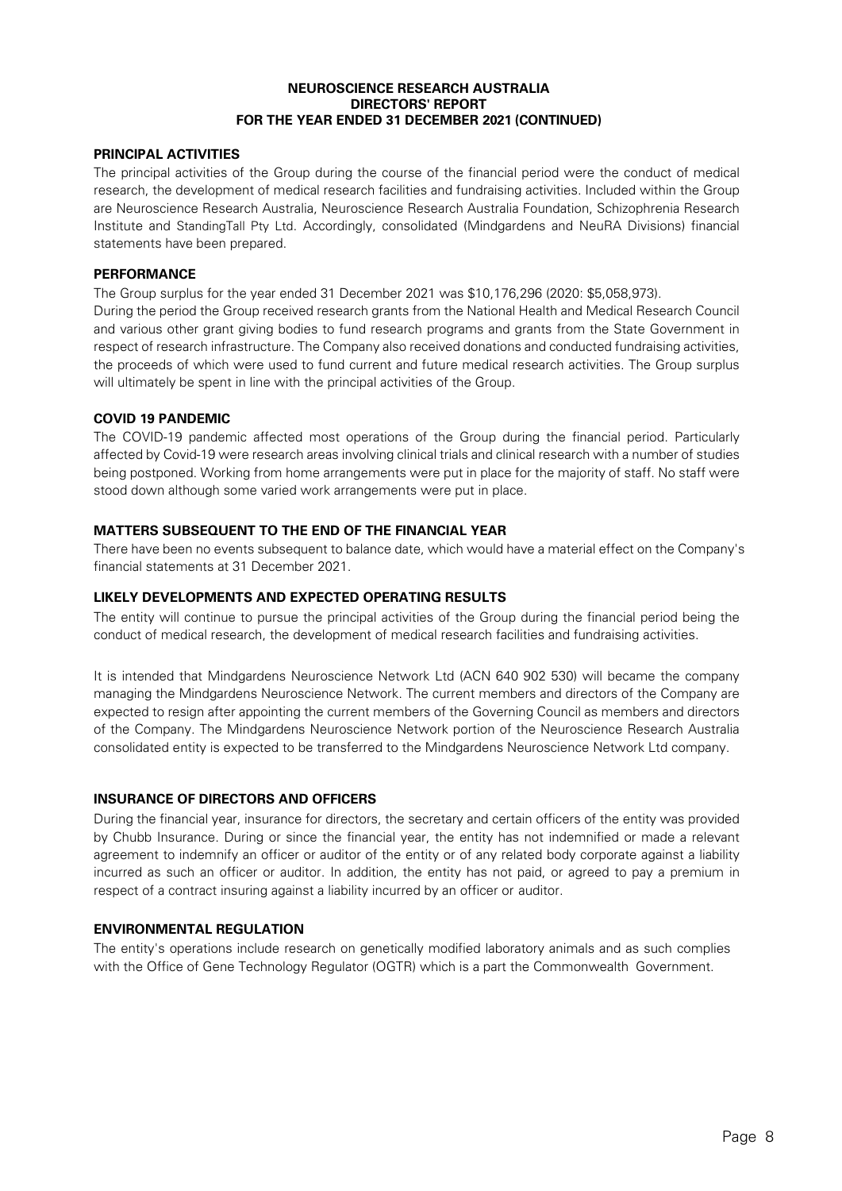# **PRINCIPAL ACTIVITIES**

The principal activities of the Group during the course of the financial period were the conduct of medical research, the development of medical research facilities and fundraising activities. Included within the Group are Neuroscience Research Australia, Neuroscience Research Australia Foundation, Schizophrenia Research Institute and StandingTall Pty Ltd. Accordingly, consolidated (Mindgardens and NeuRA Divisions) financial statements have been prepared.

# **PERFORMANCE**

The Group surplus for the year ended 31 December 2021 was \$10,176,296 (2020: \$5,058,973). During the period the Group received research grants from the National Health and Medical Research Council and various other grant giving bodies to fund research programs and grants from the State Government in respect of research infrastructure. The Company also received donations and conducted fundraising activities, the proceeds of which were used to fund current and future medical research activities. The Group surplus will ultimately be spent in line with the principal activities of the Group.

# **COVID 19 PANDEMIC**

The COVID-19 pandemic affected most operations of the Group during the financial period. Particularly affected by Covid-19 were research areas involving clinical trials and clinical research with a number of studies being postponed. Working from home arrangements were put in place for the majority of staff. No staff were stood down although some varied work arrangements were put in place.

# **MATTERS SUBSEQUENT TO THE END OF THE FINANCIAL YEAR**

There have been no events subsequent to balance date, which would have a material effect on the Company's financial statements at 31 December 2021.

# **LIKELY DEVELOPMENTS AND EXPECTED OPERATING RESULTS**

The entity will continue to pursue the principal activities of the Group during the financial period being the conduct of medical research, the development of medical research facilities and fundraising activities.

It is intended that Mindgardens Neuroscience Network Ltd (ACN 640 902 530) will became the company managing the Mindgardens Neuroscience Network. The current members and directors of the Company are expected to resign after appointing the current members of the Governing Council as members and directors of the Company. The Mindgardens Neuroscience Network portion of the Neuroscience Research Australia consolidated entity is expected to be transferred to the Mindgardens Neuroscience Network Ltd company.

# **INSURANCE OF DIRECTORS AND OFFICERS**

During the financial year, insurance for directors, the secretary and certain officers of the entity was provided by Chubb Insurance. During or since the financial year, the entity has not indemnified or made a relevant agreement to indemnify an officer or auditor of the entity or of any related body corporate against a liability incurred as such an officer or auditor. In addition, the entity has not paid, or agreed to pay a premium in respect of a contract insuring against a liability incurred by an officer or auditor.

# **ENVIRONMENTAL REGULATION**

The entity's operations include research on genetically modified laboratory animals and as such complies with the Office of Gene Technology Regulator (OGTR) which is a part the Commonwealth Government.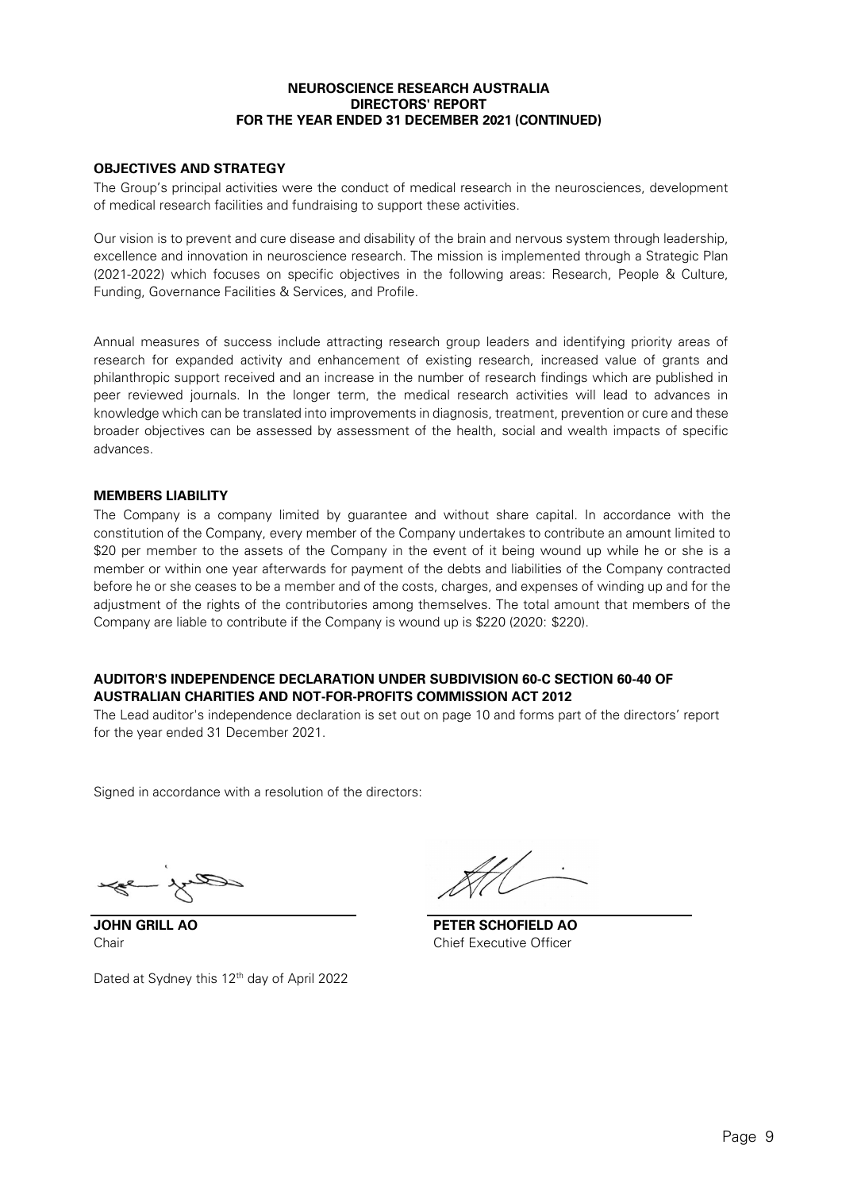# **OBJECTIVES AND STRATEGY**

The Group's principal activities were the conduct of medical research in the neurosciences, development of medical research facilities and fundraising to support these activities.

Our vision is to prevent and cure disease and disability of the brain and nervous system through leadership, excellence and innovation in neuroscience research. The mission is implemented through a Strategic Plan (2021-2022) which focuses on specific objectives in the following areas: Research, People & Culture, Funding, Governance Facilities & Services, and Profile.

Annual measures of success include attracting research group leaders and identifying priority areas of research for expanded activity and enhancement of existing research, increased value of grants and philanthropic support received and an increase in the number of research findings which are published in peer reviewed journals. In the longer term, the medical research activities will lead to advances in knowledge which can be translated into improvements in diagnosis, treatment, prevention or cure and these broader objectives can be assessed by assessment of the health, social and wealth impacts of specific advances.

### **MEMBERS LIABILITY**

The Company is a company limited by guarantee and without share capital. In accordance with the constitution of the Company, every member of the Company undertakes to contribute an amount limited to \$20 per member to the assets of the Company in the event of it being wound up while he or she is a member or within one year afterwards for payment of the debts and liabilities of the Company contracted before he or she ceases to be a member and of the costs, charges, and expenses of winding up and for the adjustment of the rights of the contributories among themselves. The total amount that members of the Company are liable to contribute if the Company is wound up is \$220 (2020: \$220).

# **AUDITOR'S INDEPENDENCE DECLARATION UNDER SUBDIVISION 60-C SECTION 60-40 OF AUSTRALIAN CHARITIES AND NOT-FOR-PROFITS COMMISSION ACT 2012**

The Lead auditor's independence declaration is set out on page 10 and forms part of the directors' report for the year ended 31 December 2021.

Signed in accordance with a resolution of the directors:

Dated at Sydney this 12<sup>th</sup> day of April 2022

**JOHN GRILL AO PETER SCHOFIELD AO**  Chair Chief Executive Officer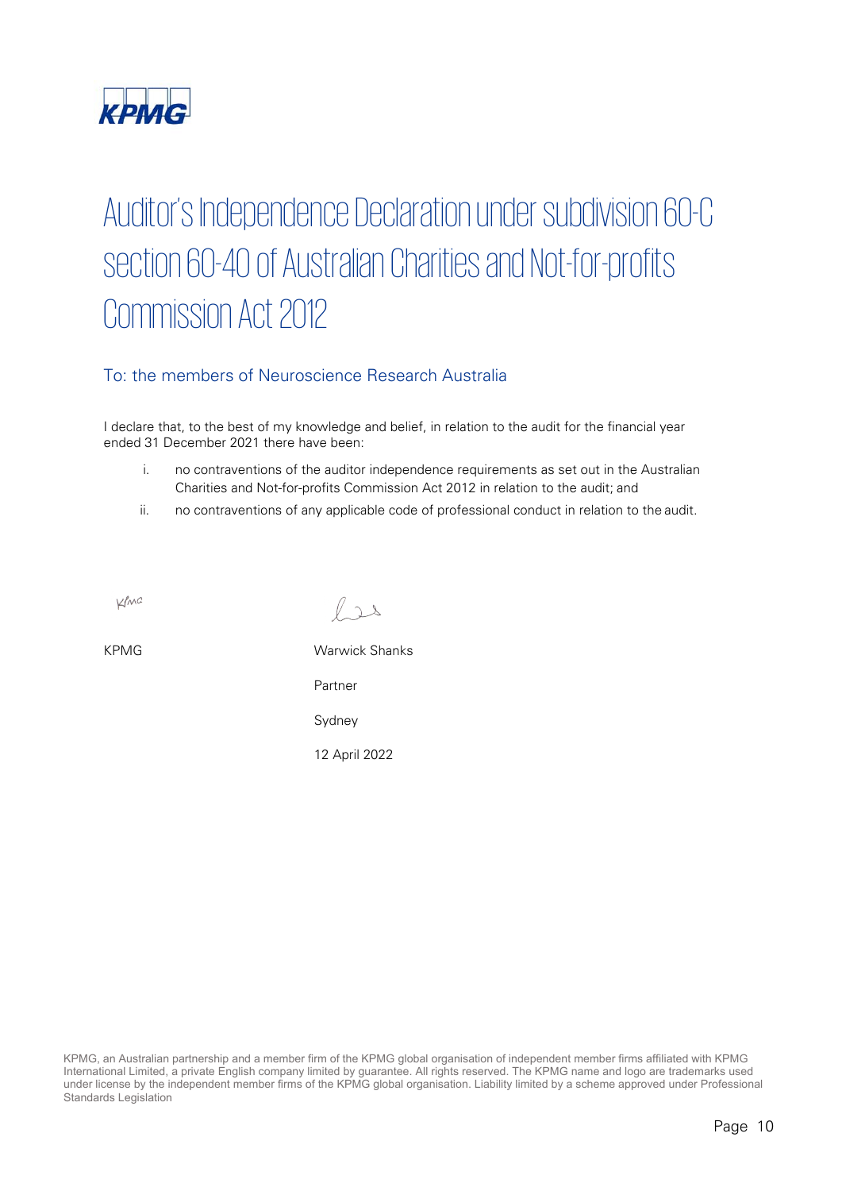

# Auditor's Independence Declaration under subdivision 60-C section 60-40 of Australian Charities and Not-for-profits Commission Act 2012

# To: the members of Neuroscience Research Australia

I declare that, to the best of my knowledge and belief, in relation to the audit for the financial year ended 31 December 2021 there have been:

- i. no contraventions of the auditor independence requirements as set out in the Australian Charities and Not-for-profits Commission Act 2012 in relation to the audit; and
- ii. no contraventions of any applicable code of professional conduct in relation to the audit.

KMC

 $l_{22}$ 

KPMG Warwick Shanks Partner

Sydney

12 April 2022

KPMG, an Australian partnership and a member firm of the KPMG global organisation of independent member firms affiliated with KPMG International Limited, a private English company limited by guarantee. All rights reserved. The KPMG name and logo are trademarks used under license by the independent member firms of the KPMG global organisation. Liability limited by a scheme approved under Professional Standards Legislation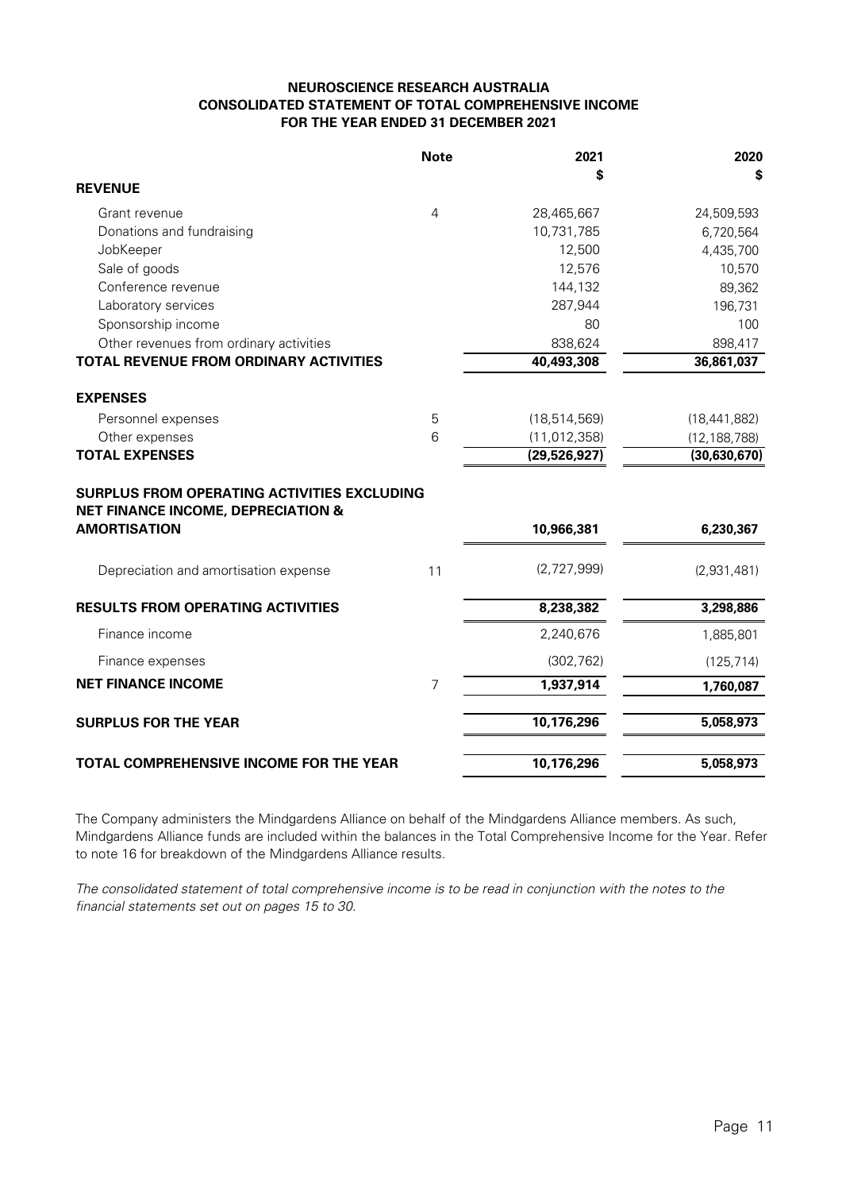# **NEUROSCIENCE RESEARCH AUSTRALIA CONSOLIDATED STATEMENT OF TOTAL COMPREHENSIVE INCOME FOR THE YEAR ENDED 31 DECEMBER 2021**

|                                                                                                                            | <b>Note</b>    | 2021           | 2020           |
|----------------------------------------------------------------------------------------------------------------------------|----------------|----------------|----------------|
| <b>REVENUE</b>                                                                                                             |                | \$             | S              |
| Grant revenue                                                                                                              | $\overline{4}$ | 28,465,667     | 24,509,593     |
| Donations and fundraising                                                                                                  |                | 10,731,785     | 6,720,564      |
| JobKeeper                                                                                                                  |                | 12,500         | 4,435,700      |
| Sale of goods                                                                                                              |                | 12,576         | 10,570         |
| Conference revenue                                                                                                         |                | 144,132        | 89,362         |
| Laboratory services                                                                                                        |                | 287,944        | 196,731        |
| Sponsorship income                                                                                                         |                | 80             | 100            |
| Other revenues from ordinary activities                                                                                    |                | 838,624        | 898,417        |
| <b>TOTAL REVENUE FROM ORDINARY ACTIVITIES</b>                                                                              |                | 40,493,308     | 36,861,037     |
| <b>EXPENSES</b>                                                                                                            |                |                |                |
| Personnel expenses                                                                                                         | 5              | (18, 514, 569) | (18, 441, 882) |
| Other expenses                                                                                                             | 6              | (11, 012, 358) | (12, 188, 788) |
| <b>TOTAL EXPENSES</b>                                                                                                      |                | (29, 526, 927) | (30, 630, 670) |
| <b>SURPLUS FROM OPERATING ACTIVITIES EXCLUDING</b><br><b>NET FINANCE INCOME, DEPRECIATION &amp;</b><br><b>AMORTISATION</b> |                | 10,966,381     | 6,230,367      |
| Depreciation and amortisation expense                                                                                      | 11             | (2,727,999)    | (2,931,481)    |
| <b>RESULTS FROM OPERATING ACTIVITIES</b>                                                                                   |                | 8,238,382      | 3,298,886      |
| Finance income                                                                                                             |                | 2,240,676      | 1,885,801      |
| Finance expenses                                                                                                           |                | (302, 762)     | (125, 714)     |
| <b>NET FINANCE INCOME</b>                                                                                                  | 7              | 1,937,914      | 1,760,087      |
| <b>SURPLUS FOR THE YEAR</b>                                                                                                |                | 10,176,296     | 5,058,973      |
| <b>TOTAL COMPREHENSIVE INCOME FOR THE YEAR</b>                                                                             |                | 10,176,296     | 5,058,973      |

The Company administers the Mindgardens Alliance on behalf of the Mindgardens Alliance members. As such, Mindgardens Alliance funds are included within the balances in the Total Comprehensive Income for the Year. Refer to note 16 for breakdown of the Mindgardens Alliance results.

The consolidated statement of total comprehensive income is to be read in conjunction with the notes to the financial statements set out on pages 15 to 30.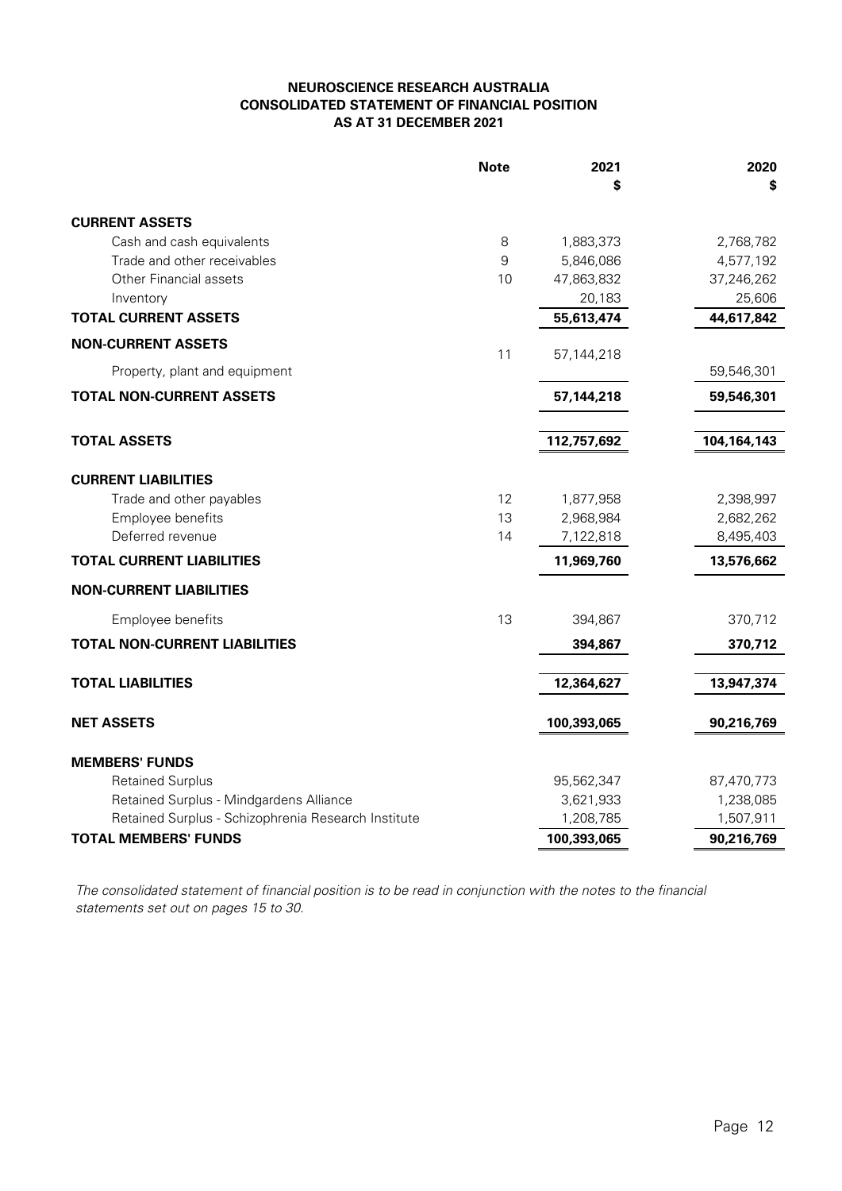# **NEUROSCIENCE RESEARCH AUSTRALIA CONSOLIDATED STATEMENT OF FINANCIAL POSITION AS AT 31 DECEMBER 2021**

|                                                     | <b>Note</b> | 2021<br>S   | 2020<br>\$    |
|-----------------------------------------------------|-------------|-------------|---------------|
| <b>CURRENT ASSETS</b>                               |             |             |               |
| Cash and cash equivalents                           | 8           | 1,883,373   | 2,768,782     |
| Trade and other receivables                         | 9           | 5,846,086   | 4,577,192     |
| <b>Other Financial assets</b>                       | 10          | 47,863,832  | 37,246,262    |
| Inventory                                           |             | 20,183      | 25,606        |
| <b>TOTAL CURRENT ASSETS</b>                         |             | 55,613,474  | 44,617,842    |
| <b>NON-CURRENT ASSETS</b>                           | 11          | 57,144,218  |               |
| Property, plant and equipment                       |             |             | 59,546,301    |
| <b>TOTAL NON-CURRENT ASSETS</b>                     |             | 57,144,218  | 59,546,301    |
| <b>TOTAL ASSETS</b>                                 |             | 112,757,692 | 104, 164, 143 |
| <b>CURRENT LIABILITIES</b>                          |             |             |               |
| Trade and other payables                            | 12          | 1,877,958   | 2,398,997     |
| Employee benefits                                   | 13          | 2,968,984   | 2,682,262     |
| Deferred revenue                                    | 14          | 7,122,818   | 8,495,403     |
| <b>TOTAL CURRENT LIABILITIES</b>                    |             | 11,969,760  | 13,576,662    |
| <b>NON-CURRENT LIABILITIES</b>                      |             |             |               |
| Employee benefits                                   | 13          | 394,867     | 370,712       |
| <b>TOTAL NON-CURRENT LIABILITIES</b>                |             | 394,867     | 370,712       |
| <b>TOTAL LIABILITIES</b>                            |             | 12,364,627  | 13,947,374    |
|                                                     |             |             |               |
| <b>NET ASSETS</b>                                   |             | 100,393,065 | 90,216,769    |
| <b>MEMBERS' FUNDS</b>                               |             |             |               |
| <b>Retained Surplus</b>                             |             | 95,562,347  | 87,470,773    |
| Retained Surplus - Mindgardens Alliance             |             | 3,621,933   | 1,238,085     |
| Retained Surplus - Schizophrenia Research Institute |             | 1,208,785   | 1,507,911     |
| <b>TOTAL MEMBERS' FUNDS</b>                         |             | 100,393,065 | 90,216,769    |

The consolidated statement of financial position is to be read in conjunction with the notes to the financial statements set out on pages 15 to 30.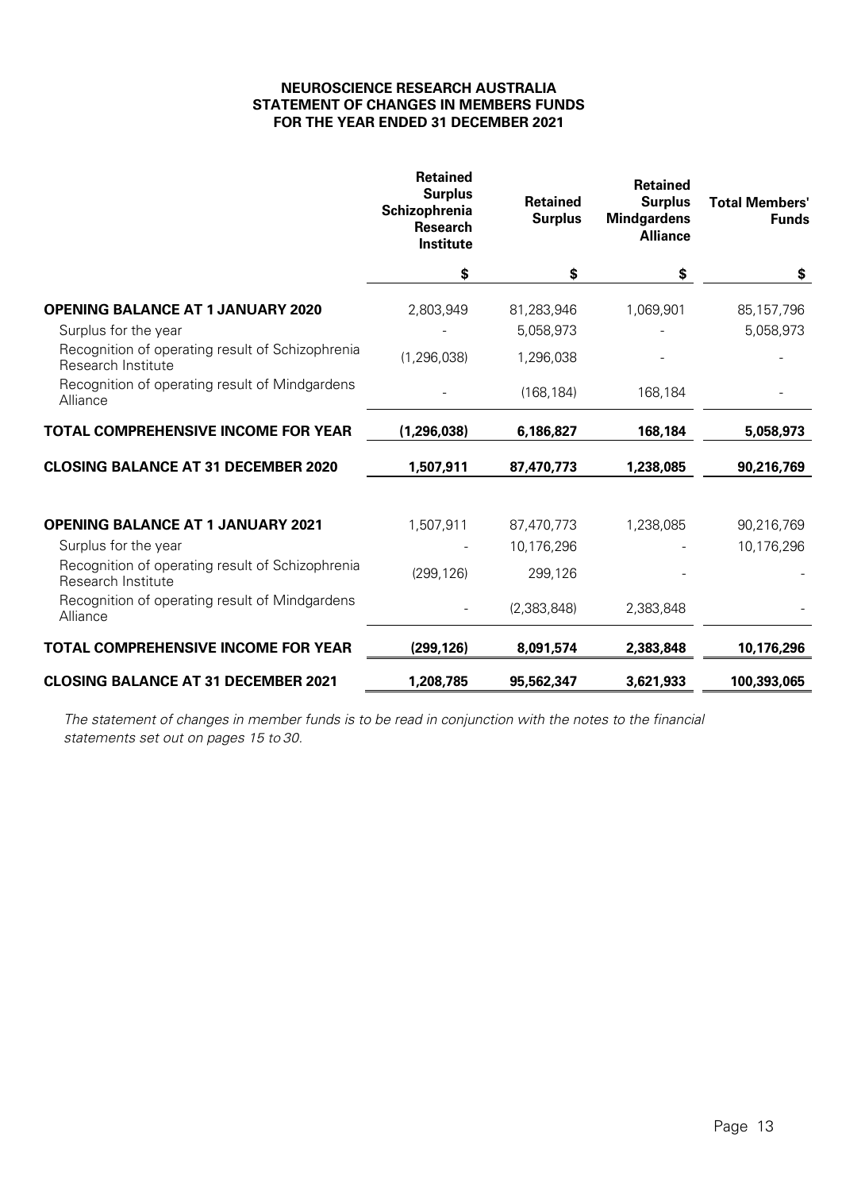# **NEUROSCIENCE RESEARCH AUSTRALIA STATEMENT OF CHANGES IN MEMBERS FUNDS FOR THE YEAR ENDED 31 DECEMBER 2021**

|                                                                        | <b>Retained</b><br><b>Surplus</b><br>Schizophrenia<br><b>Research</b><br>Institute | <b>Retained</b><br><b>Surplus</b> | <b>Retained</b><br><b>Surplus</b><br><b>Mindgardens</b><br><b>Alliance</b> | <b>Total Members'</b><br><b>Funds</b> |
|------------------------------------------------------------------------|------------------------------------------------------------------------------------|-----------------------------------|----------------------------------------------------------------------------|---------------------------------------|
|                                                                        | \$                                                                                 | \$                                | \$                                                                         | \$                                    |
| <b>OPENING BALANCE AT 1 JANUARY 2020</b>                               | 2,803,949                                                                          | 81,283,946                        | 1,069,901                                                                  | 85, 157, 796                          |
| Surplus for the year                                                   |                                                                                    | 5,058,973                         |                                                                            | 5,058,973                             |
| Recognition of operating result of Schizophrenia<br>Research Institute | (1, 296, 038)                                                                      | 1,296,038                         |                                                                            |                                       |
| Recognition of operating result of Mindgardens<br>Alliance             |                                                                                    | (168, 184)                        | 168,184                                                                    |                                       |
| <b>TOTAL COMPREHENSIVE INCOME FOR YEAR</b>                             | (1, 296, 038)                                                                      | 6,186,827                         | 168,184                                                                    | 5,058,973                             |
| <b>CLOSING BALANCE AT 31 DECEMBER 2020</b>                             | 1,507,911                                                                          | 87,470,773                        | 1,238,085                                                                  | 90,216,769                            |
| <b>OPENING BALANCE AT 1 JANUARY 2021</b>                               | 1,507,911                                                                          | 87,470,773                        | 1,238,085                                                                  | 90,216,769                            |
| Surplus for the year                                                   |                                                                                    | 10,176,296                        |                                                                            | 10,176,296                            |
| Recognition of operating result of Schizophrenia<br>Research Institute | (299, 126)                                                                         | 299,126                           |                                                                            |                                       |
| Recognition of operating result of Mindgardens<br>Alliance             |                                                                                    | (2,383,848)                       | 2,383,848                                                                  |                                       |
| <b>TOTAL COMPREHENSIVE INCOME FOR YEAR</b>                             | (299, 126)                                                                         | 8,091,574                         | 2,383,848                                                                  | 10,176,296                            |
| <b>CLOSING BALANCE AT 31 DECEMBER 2021</b>                             | 1,208,785                                                                          | 95,562,347                        | 3,621,933                                                                  | 100,393,065                           |

The statement of changes in member funds is to be read in conjunction with the notes to the financial statements set out on pages 15 to 30.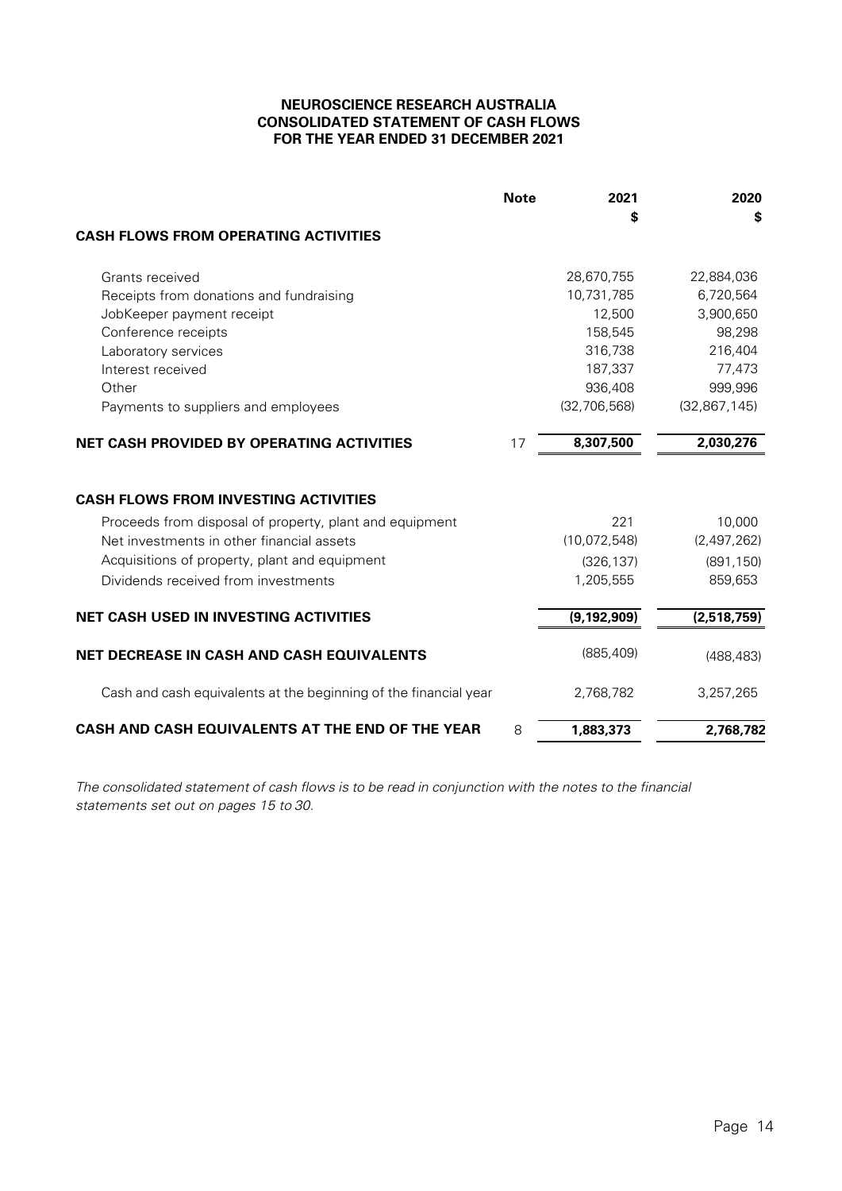# **NEUROSCIENCE RESEARCH AUSTRALIA CONSOLIDATED STATEMENT OF CASH FLOWS FOR THE YEAR ENDED 31 DECEMBER 2021**

|                                                                                                      | <b>Note</b> | 2021           | 2020                  |
|------------------------------------------------------------------------------------------------------|-------------|----------------|-----------------------|
|                                                                                                      |             | \$             | \$                    |
| <b>CASH FLOWS FROM OPERATING ACTIVITIES</b>                                                          |             |                |                       |
| Grants received                                                                                      |             | 28,670,755     | 22,884,036            |
| Receipts from donations and fundraising                                                              |             | 10,731,785     | 6,720,564             |
| JobKeeper payment receipt                                                                            |             | 12,500         | 3,900,650             |
| Conference receipts                                                                                  |             | 158,545        | 98,298                |
| Laboratory services                                                                                  |             | 316,738        | 216,404               |
| Interest received                                                                                    |             | 187,337        | 77,473                |
| Other                                                                                                |             | 936,408        | 999,996               |
| Payments to suppliers and employees                                                                  |             | (32, 706, 568) | (32, 867, 145)        |
| <b>NET CASH PROVIDED BY OPERATING ACTIVITIES</b>                                                     | 17          | 8,307,500      | 2,030,276             |
| <b>CASH FLOWS FROM INVESTING ACTIVITIES</b>                                                          |             |                |                       |
|                                                                                                      |             | 221            |                       |
| Proceeds from disposal of property, plant and equipment<br>Net investments in other financial assets |             | (10,072,548)   | 10,000<br>(2,497,262) |
|                                                                                                      |             |                |                       |
| Acquisitions of property, plant and equipment                                                        |             | (326, 137)     | (891, 150)            |
| Dividends received from investments                                                                  |             | 1,205,555      | 859,653               |
| <b>NET CASH USED IN INVESTING ACTIVITIES</b>                                                         |             | (9, 192, 909)  | (2,518,759)           |
| <b>NET DECREASE IN CASH AND CASH EQUIVALENTS</b>                                                     |             | (885, 409)     | (488, 483)            |
| Cash and cash equivalents at the beginning of the financial year                                     |             | 2,768,782      | 3,257,265             |
| CASH AND CASH EQUIVALENTS AT THE END OF THE YEAR                                                     | 8           | 1,883,373      | 2,768,782             |

The consolidated statement of cash flows is to be read in conjunction with the notes to the financial statements set out on pages 15 to 30.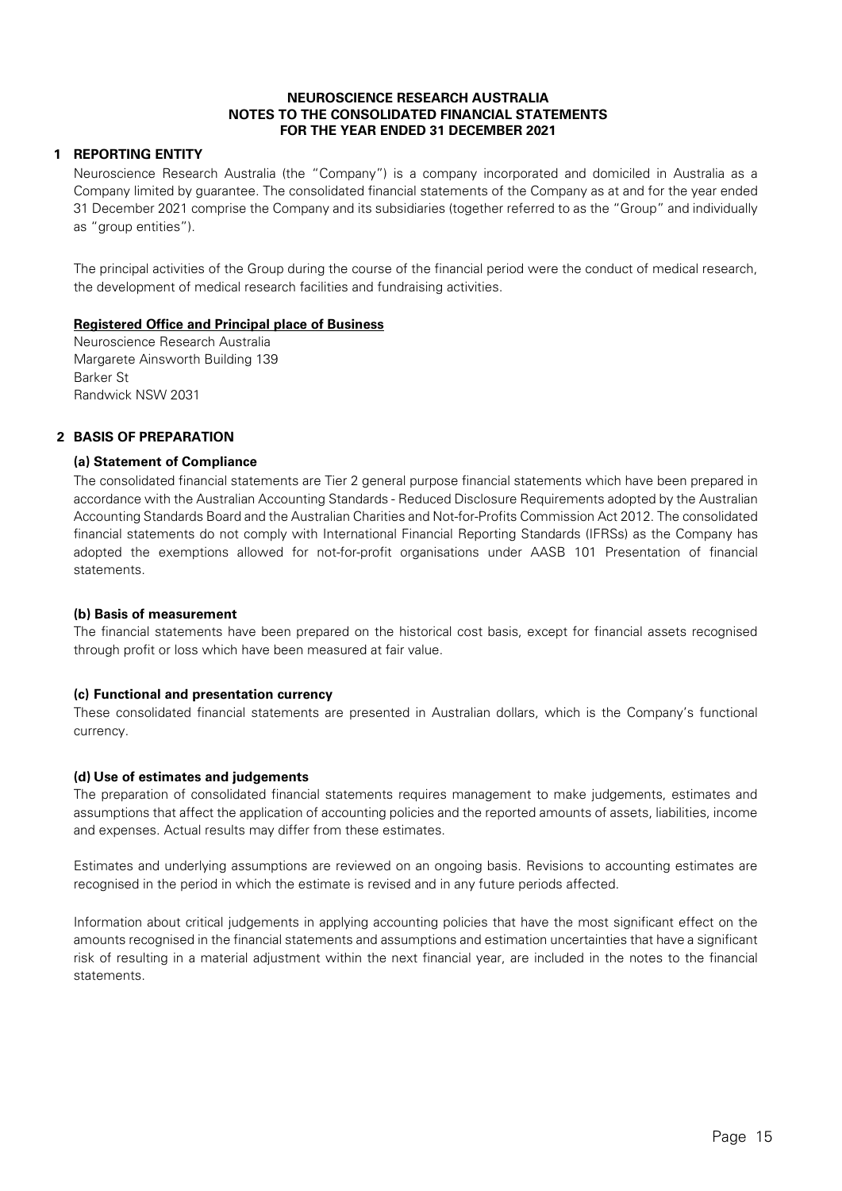# **1 REPORTING ENTITY**

Neuroscience Research Australia (the "Company") is a company incorporated and domiciled in Australia as a Company limited by guarantee. The consolidated financial statements of the Company as at and for the year ended 31 December 2021 comprise the Company and its subsidiaries (together referred to as the "Group" and individually as "group entities").

The principal activities of the Group during the course of the financial period were the conduct of medical research, the development of medical research facilities and fundraising activities.

### **Registered Office and Principal place of Business**

Neuroscience Research Australia Margarete Ainsworth Building 139 Barker St Randwick NSW 2031

# **2 BASIS OF PREPARATION**

### **(a) Statement of Compliance**

The consolidated financial statements are Tier 2 general purpose financial statements which have been prepared in accordance with the Australian Accounting Standards - Reduced Disclosure Requirements adopted by the Australian Accounting Standards Board and the Australian Charities and Not-for-Profits Commission Act 2012. The consolidated financial statements do not comply with International Financial Reporting Standards (IFRSs) as the Company has adopted the exemptions allowed for not-for-profit organisations under AASB 101 Presentation of financial statements.

# **(b) Basis of measurement**

The financial statements have been prepared on the historical cost basis, except for financial assets recognised through profit or loss which have been measured at fair value.

### **(c) Functional and presentation currency**

These consolidated financial statements are presented in Australian dollars, which is the Company's functional currency.

### **(d) Use of estimates and judgements**

The preparation of consolidated financial statements requires management to make judgements, estimates and assumptions that affect the application of accounting policies and the reported amounts of assets, liabilities, income and expenses. Actual results may differ from these estimates.

Estimates and underlying assumptions are reviewed on an ongoing basis. Revisions to accounting estimates are recognised in the period in which the estimate is revised and in any future periods affected.

Information about critical judgements in applying accounting policies that have the most significant effect on the amounts recognised in the financial statements and assumptions and estimation uncertainties that have a significant risk of resulting in a material adjustment within the next financial year, are included in the notes to the financial statements.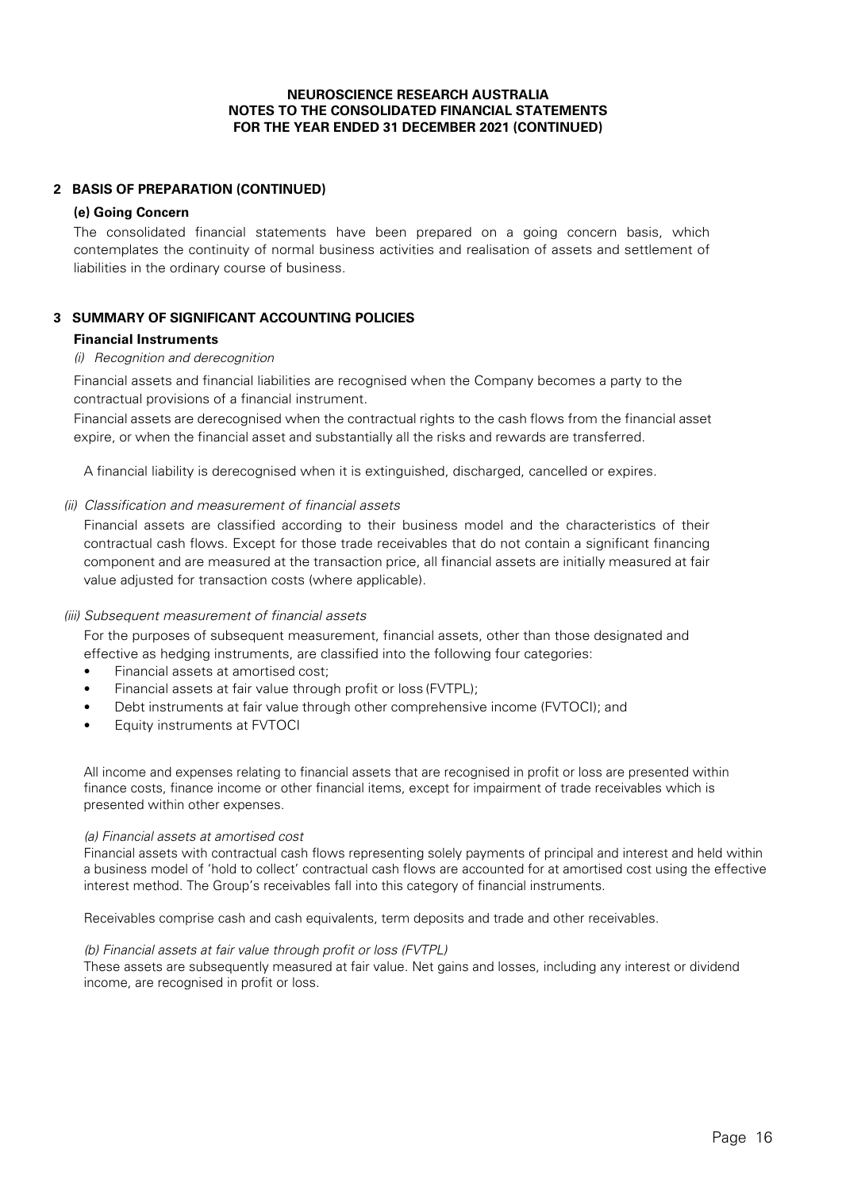# **2 BASIS OF PREPARATION (CONTINUED)**

### **(e) Going Concern**

The consolidated financial statements have been prepared on a going concern basis, which contemplates the continuity of normal business activities and realisation of assets and settlement of liabilities in the ordinary course of business.

# **3 SUMMARY OF SIGNIFICANT ACCOUNTING POLICIES**

# **Financial Instruments**

# (i) Recognition and derecognition

Financial assets and financial liabilities are recognised when the Company becomes a party to the contractual provisions of a financial instrument.

Financial assets are derecognised when the contractual rights to the cash flows from the financial asset expire, or when the financial asset and substantially all the risks and rewards are transferred.

A financial liability is derecognised when it is extinguished, discharged, cancelled or expires.

# (ii) Classification and measurement of financial assets

Financial assets are classified according to their business model and the characteristics of their contractual cash flows. Except for those trade receivables that do not contain a significant financing component and are measured at the transaction price, all financial assets are initially measured at fair value adjusted for transaction costs (where applicable).

### (iii) Subsequent measurement of financial assets

For the purposes of subsequent measurement, financial assets, other than those designated and effective as hedging instruments, are classified into the following four categories:

- Financial assets at amortised cost;
- Financial assets at fair value through profit or loss (FVTPL);
- Debt instruments at fair value through other comprehensive income (FVTOCI); and
- Equity instruments at FVTOCI

All income and expenses relating to financial assets that are recognised in profit or loss are presented within finance costs, finance income or other financial items, except for impairment of trade receivables which is presented within other expenses.

### (a) Financial assets at amortised cost

Financial assets with contractual cash flows representing solely payments of principal and interest and held within a business model of 'hold to collect' contractual cash flows are accounted for at amortised cost using the effective interest method. The Group's receivables fall into this category of financial instruments.

Receivables comprise cash and cash equivalents, term deposits and trade and other receivables.

### (b) Financial assets at fair value through profit or loss (FVTPL)

These assets are subsequently measured at fair value. Net gains and losses, including any interest or dividend income, are recognised in profit or loss.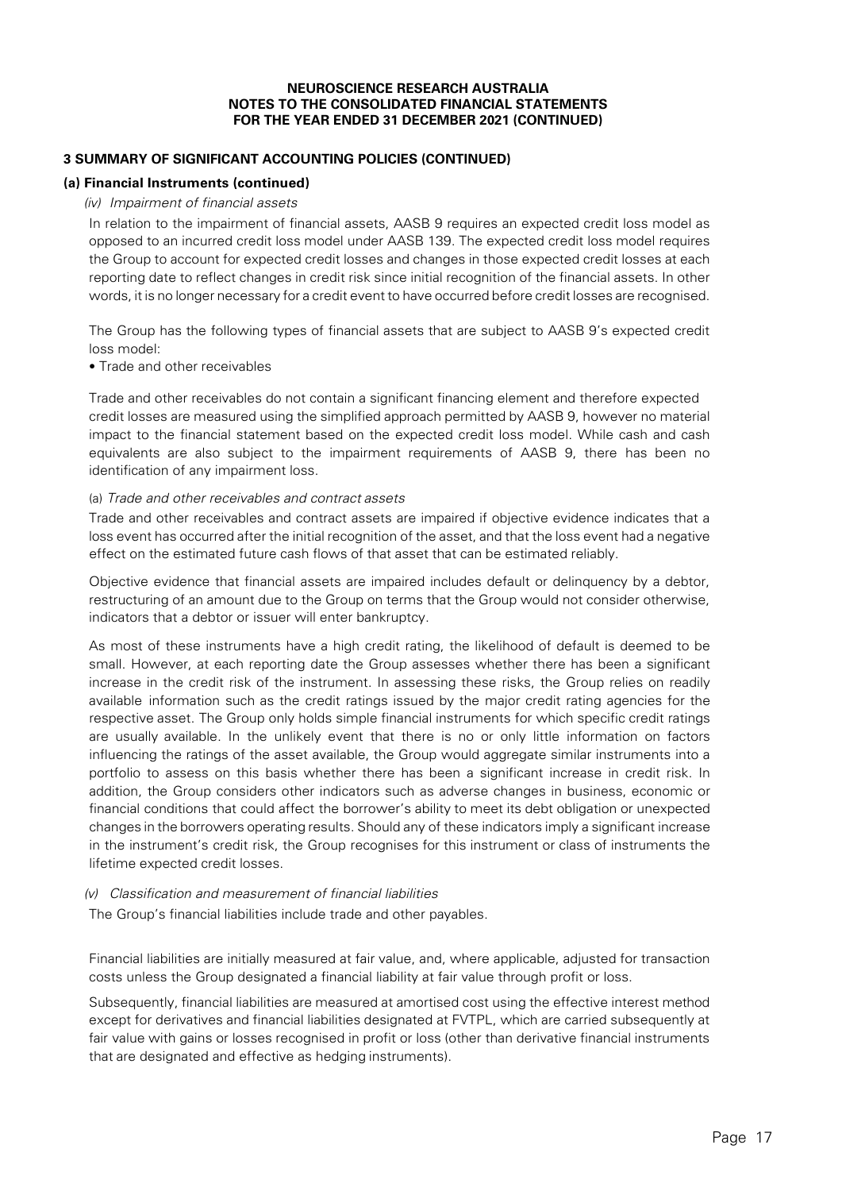# **3 SUMMARY OF SIGNIFICANT ACCOUNTING POLICIES (CONTINUED)**

### **(a) Financial Instruments (continued)**

#### (iv) Impairment of financial assets

In relation to the impairment of financial assets, AASB 9 requires an expected credit loss model as opposed to an incurred credit loss model under AASB 139. The expected credit loss model requires the Group to account for expected credit losses and changes in those expected credit losses at each reporting date to reflect changes in credit risk since initial recognition of the financial assets. In other words, it is no longer necessary for a credit event to have occurred before credit losses are recognised.

The Group has the following types of financial assets that are subject to AASB 9's expected credit loss model:

• Trade and other receivables

Trade and other receivables do not contain a significant financing element and therefore expected credit losses are measured using the simplified approach permitted by AASB 9, however no material impact to the financial statement based on the expected credit loss model. While cash and cash equivalents are also subject to the impairment requirements of AASB 9, there has been no identification of any impairment loss.

#### (a) Trade and other receivables and contract assets

Trade and other receivables and contract assets are impaired if objective evidence indicates that a loss event has occurred after the initial recognition of the asset, and that the loss event had a negative effect on the estimated future cash flows of that asset that can be estimated reliably.

Objective evidence that financial assets are impaired includes default or delinquency by a debtor, restructuring of an amount due to the Group on terms that the Group would not consider otherwise, indicators that a debtor or issuer will enter bankruptcy.

As most of these instruments have a high credit rating, the likelihood of default is deemed to be small. However, at each reporting date the Group assesses whether there has been a significant increase in the credit risk of the instrument. In assessing these risks, the Group relies on readily available information such as the credit ratings issued by the major credit rating agencies for the respective asset. The Group only holds simple financial instruments for which specific credit ratings are usually available. In the unlikely event that there is no or only little information on factors influencing the ratings of the asset available, the Group would aggregate similar instruments into a portfolio to assess on this basis whether there has been a significant increase in credit risk. In addition, the Group considers other indicators such as adverse changes in business, economic or financial conditions that could affect the borrower's ability to meet its debt obligation or unexpected changes in the borrowers operating results. Should any of these indicators imply a significant increase in the instrument's credit risk, the Group recognises for this instrument or class of instruments the lifetime expected credit losses.

#### (v) Classification and measurement of financial liabilities

The Group's financial liabilities include trade and other payables.

Financial liabilities are initially measured at fair value, and, where applicable, adjusted for transaction costs unless the Group designated a financial liability at fair value through profit or loss.

Subsequently, financial liabilities are measured at amortised cost using the effective interest method except for derivatives and financial liabilities designated at FVTPL, which are carried subsequently at fair value with gains or losses recognised in profit or loss (other than derivative financial instruments that are designated and effective as hedging instruments).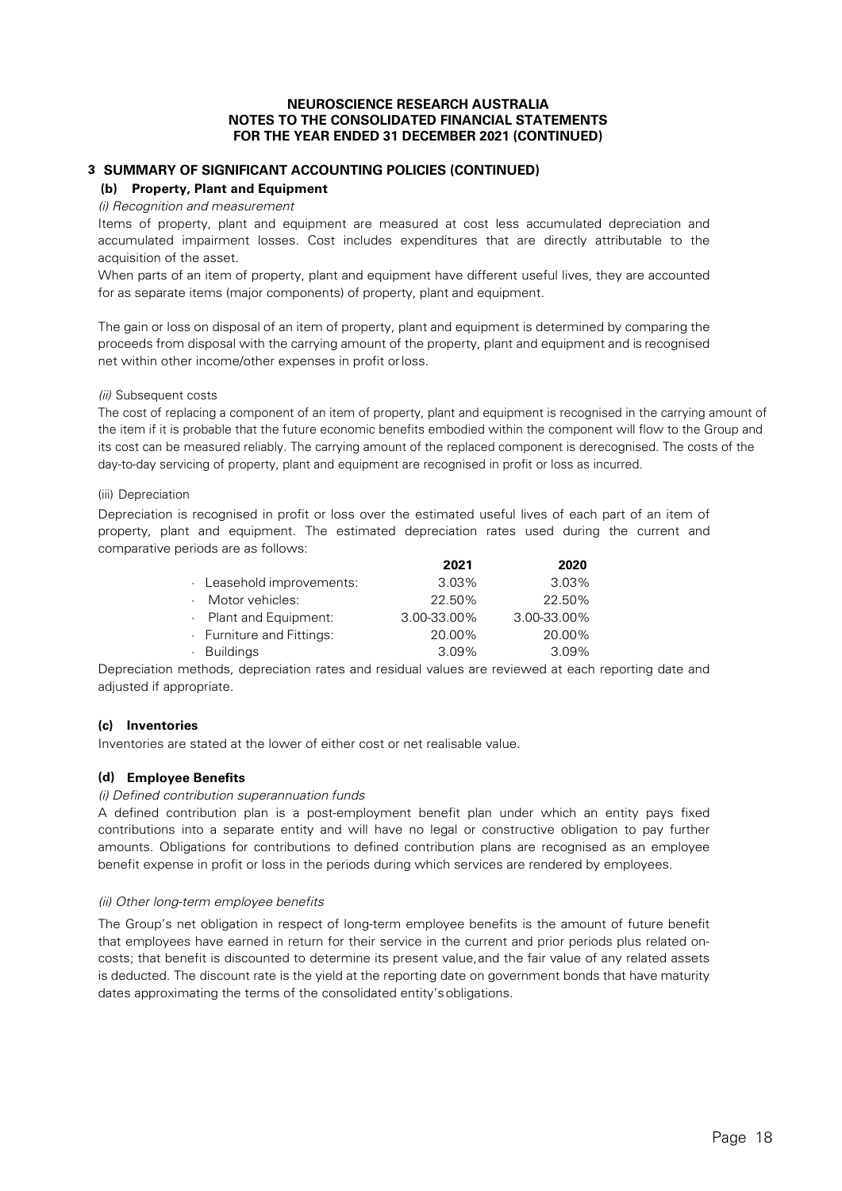# **3 SUMMARY OF SIGNIFICANT ACCOUNTING POLICIES (CONTINUED)**

#### **(b) Property, Plant and Equipment**

#### *(i) Recognition and measurement*

Items of property, plant and equipment are measured at cost less accumulated depreciation and accumulated impairment losses. Cost includes expenditures that are directly attributable to the acquisition of the asset.

When parts of an item of property, plant and equipment have different useful lives, they are accounted for as separate items (major components) of property, plant and equipment.

The gain or loss on disposal of an item of property, plant and equipment is determined by comparing the proceeds from disposal with the carrying amount of the property, plant and equipment and is recognised net within other income/other expenses in profit or loss.

#### *(ii)* Subsequent costs

The cost of replacing a component of an item of property, plant and equipment is recognised in the carrying amount of the item if it is probable that the future economic benefits embodied within the component will flow to the Group and its cost can be measured reliably. The carrying amount of the replaced component is derecognised. The costs of the day-to-day servicing of property, plant and equipment are recognised in profit or loss as incurred.

#### (iii) Depreciation

Depreciation is recognised in profit or loss over the estimated useful lives of each part of an item of property, plant and equipment. The estimated depreciation rates used during the current and comparative periods are as follows:

|                         | 2021        | 2020        |
|-------------------------|-------------|-------------|
| Leasehold improvements: | 3.03%       | 3.03%       |
| · Motor vehicles:       | 22.50%      | 22.50%      |
| · Plant and Equipment:  | 3.00-33.00% | 3.00-33.00% |
| Furniture and Fittings: | 20.00%      | 20.00%      |
| · Buildings             | 3.09%       | 3.09%       |

Depreciation methods, depreciation rates and residual values are reviewed at each reporting date and adjusted if appropriate.

#### **(c) Inventories**

Inventories are stated at the lower of either cost or net realisable value.

### **(d) Employee Benefits**

#### *(i) Defined contribution superannuation funds*

A defined contribution plan is a post-employment benefit plan under which an entity pays fixed contributions into a separate entity and will have no legal or constructive obligation to pay further amounts. Obligations for contributions to defined contribution plans are recognised as an employee benefit expense in profit or loss in the periods during which services are rendered by employees.

#### *(ii) Other long-term employee benefits*

The Group's net obligation in respect of long-term employee benefits is the amount of future benefit that employees have earned in return for their service in the current and prior periods plus related oncosts; that benefit is discounted to determine its present value, and the fair value of any related assets is deducted. The discount rate is the yield at the reporting date on government bonds that have maturity dates approximating the terms of the consolidated entity's obligations.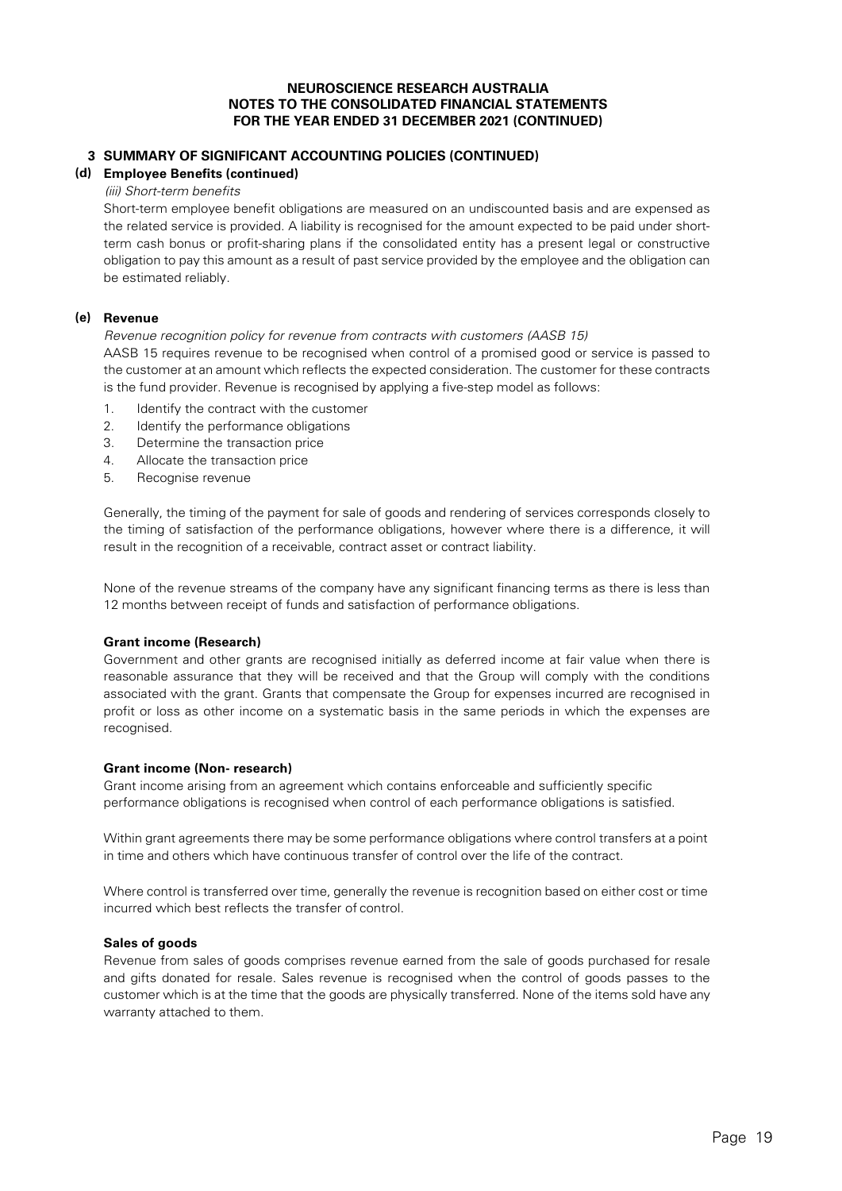# **3 SUMMARY OF SIGNIFICANT ACCOUNTING POLICIES (CONTINUED)**

# **(d) Employee Benefits (continued)**

## (iii) Short-term benefits

Short-term employee benefit obligations are measured on an undiscounted basis and are expensed as the related service is provided. A liability is recognised for the amount expected to be paid under shortterm cash bonus or profit-sharing plans if the consolidated entity has a present legal or constructive obligation to pay this amount as a result of past service provided by the employee and the obligation can be estimated reliably.

#### **(e) Revenue**

#### Revenue recognition policy for revenue from contracts with customers (AASB 15)

AASB 15 requires revenue to be recognised when control of a promised good or service is passed to the customer at an amount which reflects the expected consideration. The customer for these contracts is the fund provider. Revenue is recognised by applying a five-step model as follows:

- 1. Identify the contract with the customer
- 2. Identify the performance obligations
- 3. Determine the transaction price
- 4. Allocate the transaction price
- 5. Recognise revenue

Generally, the timing of the payment for sale of goods and rendering of services corresponds closely to the timing of satisfaction of the performance obligations, however where there is a difference, it will result in the recognition of a receivable, contract asset or contract liability.

None of the revenue streams of the company have any significant financing terms as there is less than 12 months between receipt of funds and satisfaction of performance obligations.

#### **Grant income (Research)**

Government and other grants are recognised initially as deferred income at fair value when there is reasonable assurance that they will be received and that the Group will comply with the conditions associated with the grant. Grants that compensate the Group for expenses incurred are recognised in profit or loss as other income on a systematic basis in the same periods in which the expenses are recognised.

### **Grant income (Non- research)**

Grant income arising from an agreement which contains enforceable and sufficiently specific performance obligations is recognised when control of each performance obligations is satisfied.

Within grant agreements there may be some performance obligations where control transfers at a point in time and others which have continuous transfer of control over the life of the contract.

Where control is transferred over time, generally the revenue is recognition based on either cost or time incurred which best reflects the transfer of control.

### **Sales of goods**

Revenue from sales of goods comprises revenue earned from the sale of goods purchased for resale and gifts donated for resale. Sales revenue is recognised when the control of goods passes to the customer which is at the time that the goods are physically transferred. None of the items sold have any warranty attached to them.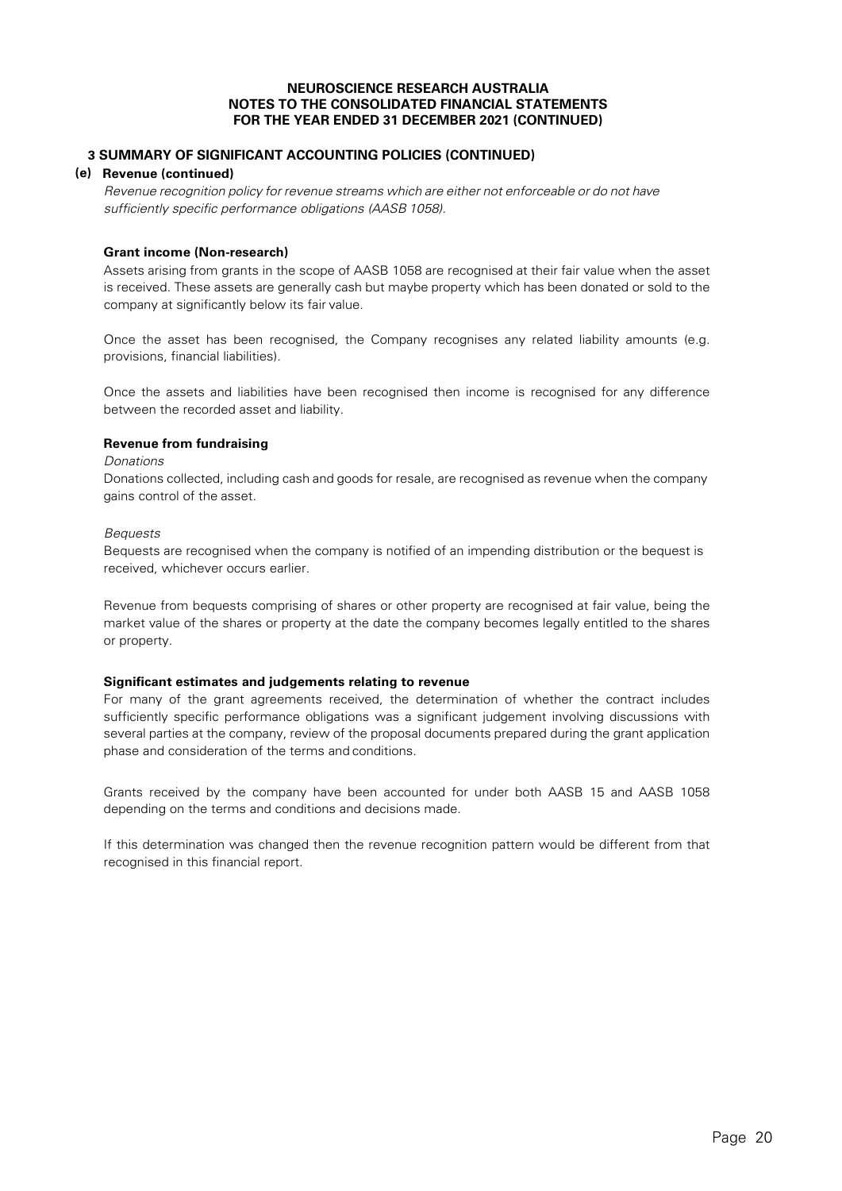# **3 SUMMARY OF SIGNIFICANT ACCOUNTING POLICIES (CONTINUED)**

### **(e) Revenue (continued)**

Revenue recognition policy for revenue streams which are either not enforceable or do not have sufficiently specific performance obligations (AASB 1058).

#### **Grant income (Non-research)**

Assets arising from grants in the scope of AASB 1058 are recognised at their fair value when the asset is received. These assets are generally cash but maybe property which has been donated or sold to the company at significantly below its fair value.

Once the asset has been recognised, the Company recognises any related liability amounts (e.g. provisions, financial liabilities).

Once the assets and liabilities have been recognised then income is recognised for any difference between the recorded asset and liability.

### **Revenue from fundraising**

#### Donations

Donations collected, including cash and goods for resale, are recognised as revenue when the company gains control of the asset.

#### Bequests

Bequests are recognised when the company is notified of an impending distribution or the bequest is received, whichever occurs earlier.

Revenue from bequests comprising of shares or other property are recognised at fair value, being the market value of the shares or property at the date the company becomes legally entitled to the shares or property.

### **Significant estimates and judgements relating to revenue**

For many of the grant agreements received, the determination of whether the contract includes sufficiently specific performance obligations was a significant judgement involving discussions with several parties at the company, review of the proposal documents prepared during the grant application phase and consideration of the terms and conditions.

Grants received by the company have been accounted for under both AASB 15 and AASB 1058 depending on the terms and conditions and decisions made.

If this determination was changed then the revenue recognition pattern would be different from that recognised in this financial report.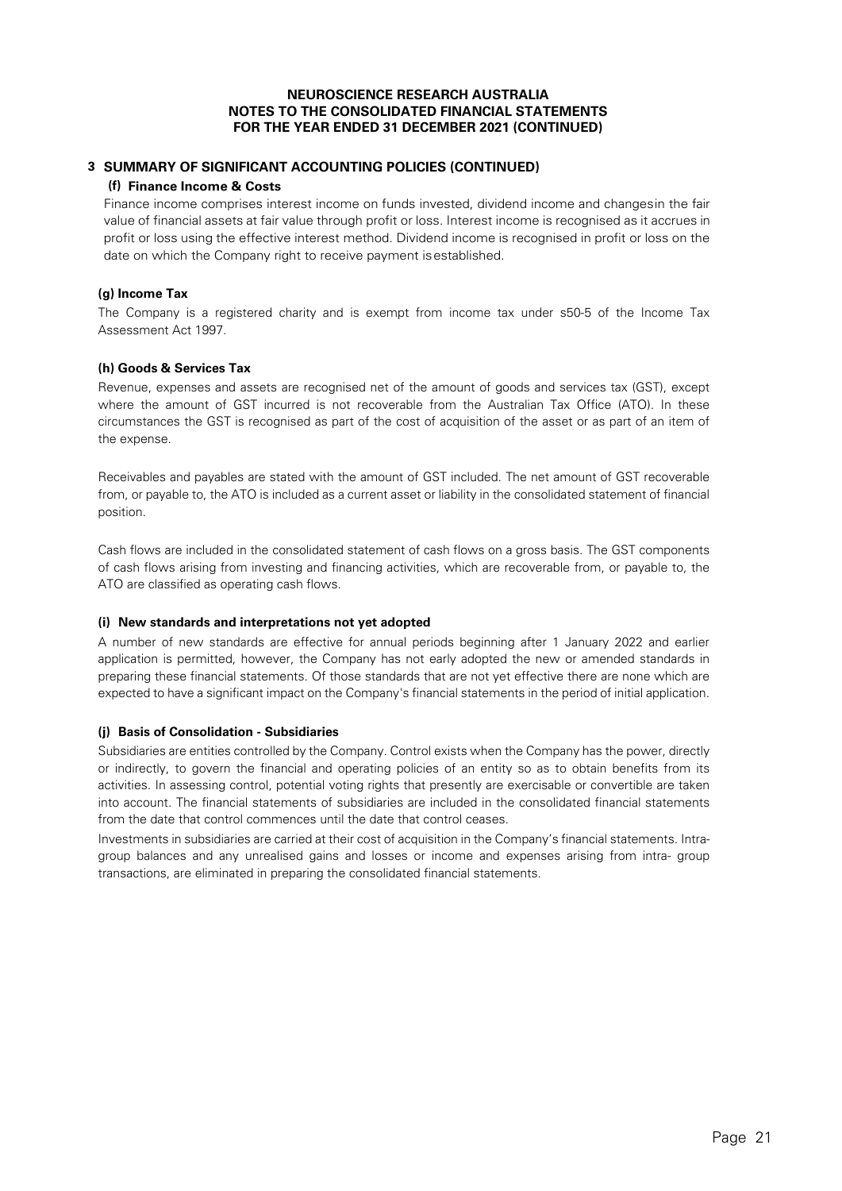# **3 SUMMARY OF SIGNIFICANT ACCOUNTING POLICIES (CONTINUED)**

### **(f) Finance Income & Costs**

Finance income comprises interest income on funds invested, dividend income and changesin the fair value of financial assets at fair value through profit or loss. Interest income is recognised as it accrues in profit or loss using the effective interest method. Dividend income is recognised in profit or loss on the date on which the Company right to receive payment isestablished.

#### **(g) Income Tax**

The Company is a registered charity and is exempt from income tax under s50-5 of the Income Tax Assessment Act 1997.

#### **(h) Goods & Services Tax**

Revenue, expenses and assets are recognised net of the amount of goods and services tax (GST), except where the amount of GST incurred is not recoverable from the Australian Tax Office (ATO). In these circumstances the GST is recognised as part of the cost of acquisition of the asset or as part of an item of the expense.

Receivables and payables are stated with the amount of GST included. The net amount of GST recoverable from, or payable to, the ATO is included as a current asset or liability in the consolidated statement of financial position.

Cash flows are included in the consolidated statement of cash flows on a gross basis. The GST components of cash flows arising from investing and financing activities, which are recoverable from, or payable to, the ATO are classified as operating cash flows.

#### **(i) New standards and interpretations not yet adopted**

A number of new standards are effective for annual periods beginning after 1 January 2022 and earlier application is permitted, however, the Company has not early adopted the new or amended standards in preparing these financial statements. Of those standards that are not yet effective there are none which are expected to have a significant impact on the Company's financial statements in the period of initial application.

### **(j) Basis of Consolidation - Subsidiaries**

Subsidiaries are entities controlled by the Company. Control exists when the Company has the power, directly or indirectly, to govern the financial and operating policies of an entity so as to obtain benefits from its activities. In assessing control, potential voting rights that presently are exercisable or convertible are taken into account. The financial statements of subsidiaries are included in the consolidated financial statements from the date that control commences until the date that control ceases.

Investments in subsidiaries are carried at their cost of acquisition in the Company's financial statements. Intragroup balances and any unrealised gains and losses or income and expenses arising from intra- group transactions, are eliminated in preparing the consolidated financial statements.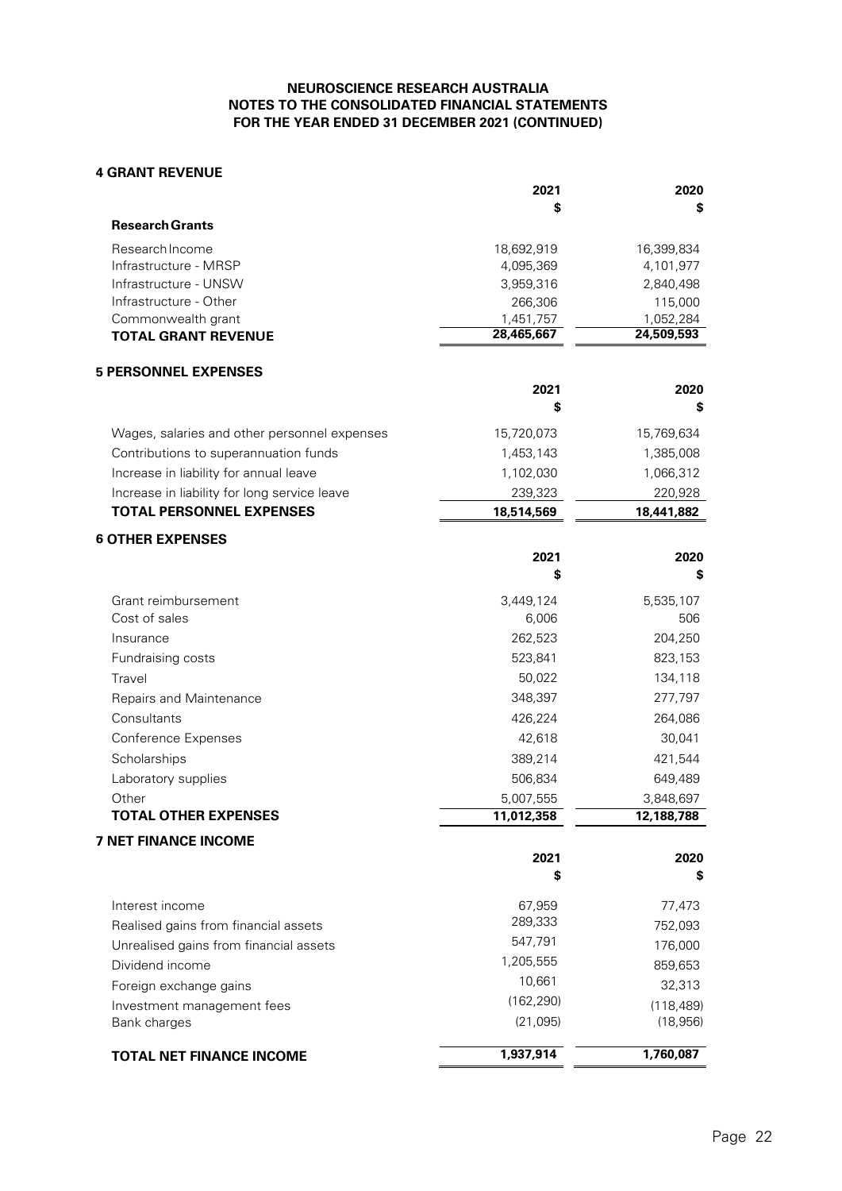### **4 GRANT REVENUE**

|                            | 2021       | 2020       |
|----------------------------|------------|------------|
|                            | \$         | \$         |
| <b>Research Grants</b>     |            |            |
| Research Income            | 18.692.919 | 16.399.834 |
| Infrastructure - MRSP      | 4,095,369  | 4,101,977  |
| Infrastructure - UNSW      | 3,959,316  | 2,840,498  |
| Infrastructure - Other     | 266,306    | 115,000    |
| Commonwealth grant         | 1,451,757  | 1,052,284  |
| <b>TOTAL GRANT REVENUE</b> | 28,465,667 | 24,509,593 |

# **5 PERSONNEL EXPENSES**

|                                              | 2021<br>\$ | 2020<br>\$ |
|----------------------------------------------|------------|------------|
| Wages, salaries and other personnel expenses | 15,720,073 | 15,769,634 |
| Contributions to superannuation funds        | 1.453.143  | 1,385,008  |
| Increase in liability for annual leave       | 1,102,030  | 1,066,312  |
| Increase in liability for long service leave | 239,323    | 220,928    |
| <b>TOTAL PERSONNEL EXPENSES</b>              | 18,514,569 | 18,441,882 |

| <b>6 OTHER EXPENSES</b>                |            |            |
|----------------------------------------|------------|------------|
|                                        | 2021       | 2020       |
|                                        | \$         | \$         |
| Grant reimbursement                    | 3,449,124  | 5,535,107  |
| Cost of sales                          | 6,006      | 506        |
| Insurance                              | 262,523    | 204,250    |
| Fundraising costs                      | 523,841    | 823,153    |
| Travel                                 | 50,022     | 134,118    |
| Repairs and Maintenance                | 348,397    | 277,797    |
| Consultants                            | 426,224    | 264,086    |
| <b>Conference Expenses</b>             | 42,618     | 30,041     |
| Scholarships                           | 389,214    | 421,544    |
| Laboratory supplies                    | 506,834    | 649,489    |
| Other                                  | 5,007,555  | 3,848,697  |
| <b>TOTAL OTHER EXPENSES</b>            | 11,012,358 | 12,188,788 |
| <b>7 NET FINANCE INCOME</b>            |            |            |
|                                        | 2021       | 2020       |
|                                        | \$         | \$         |
| Interest income                        | 67,959     | 77,473     |
| Realised gains from financial assets   | 289,333    | 752,093    |
| Unrealised gains from financial assets | 547,791    | 176,000    |
| Dividend income                        | 1,205,555  | 859,653    |
| Foreign exchange gains                 | 10,661     | 32,313     |
| Investment management fees             | (162, 290) | (118, 489) |
| Bank charges                           | (21,095)   | (18, 956)  |
| <b>TOTAL NET FINANCE INCOME</b>        | 1,937,914  | 1,760,087  |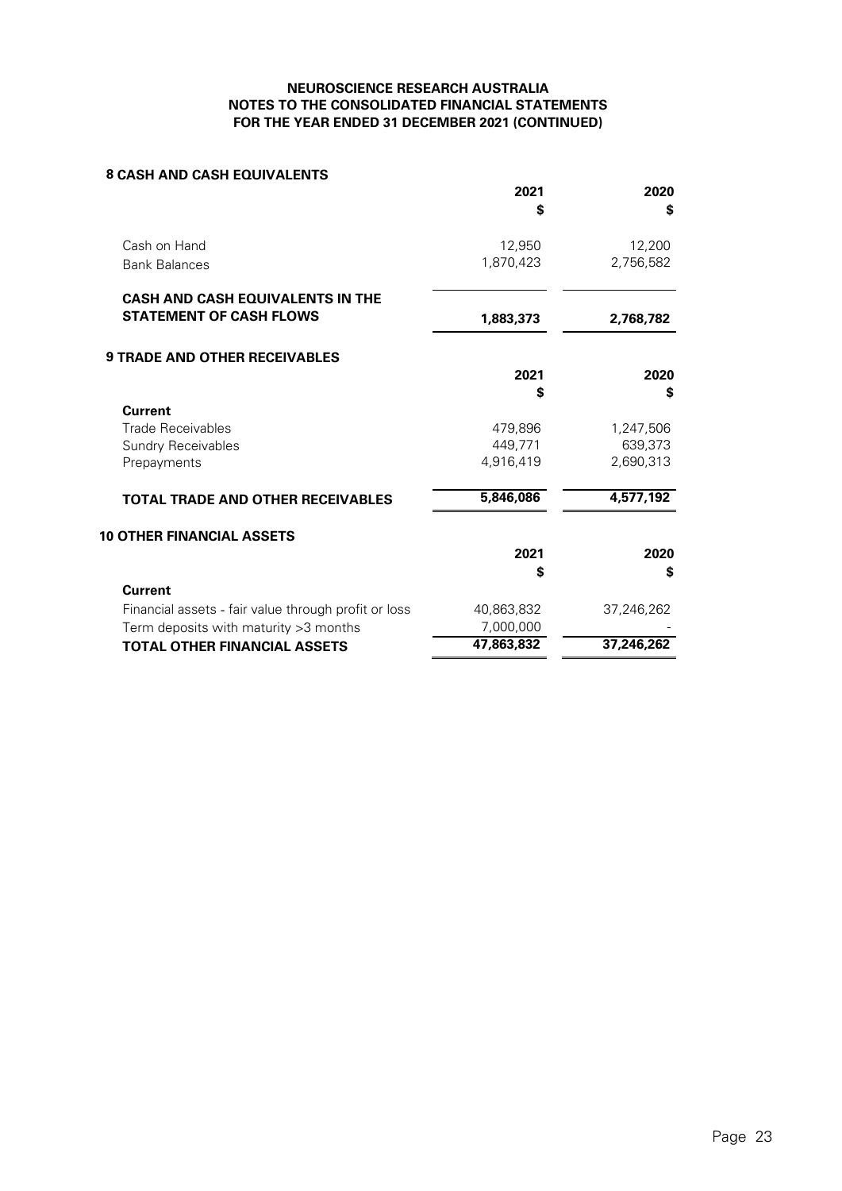# **8 CASH AND CASH EQUIVALENTS**

|                                                      | 2021       | 2020       |
|------------------------------------------------------|------------|------------|
|                                                      | \$         | \$         |
| Cash on Hand                                         | 12,950     | 12,200     |
| <b>Bank Balances</b>                                 | 1,870,423  | 2,756,582  |
| <b>CASH AND CASH EQUIVALENTS IN THE</b>              |            |            |
| <b>STATEMENT OF CASH FLOWS</b>                       | 1,883,373  | 2,768,782  |
| <b>9 TRADE AND OTHER RECEIVABLES</b>                 |            |            |
|                                                      | 2021       | 2020       |
|                                                      | \$         | \$         |
| <b>Current</b>                                       |            |            |
| <b>Trade Receivables</b>                             | 479,896    | 1,247,506  |
| <b>Sundry Receivables</b>                            | 449,771    | 639,373    |
| Prepayments                                          | 4,916,419  | 2,690,313  |
| <b>TOTAL TRADE AND OTHER RECEIVABLES</b>             | 5,846,086  | 4,577,192  |
| <b>10 OTHER FINANCIAL ASSETS</b>                     |            |            |
|                                                      | 2021       | 2020       |
|                                                      | \$         | \$         |
| <b>Current</b>                                       |            |            |
| Financial assets - fair value through profit or loss | 40,863,832 | 37,246,262 |
| Term deposits with maturity > 3 months               | 7,000,000  |            |
| <b>TOTAL OTHER FINANCIAL ASSETS</b>                  | 47,863,832 | 37,246,262 |
|                                                      |            |            |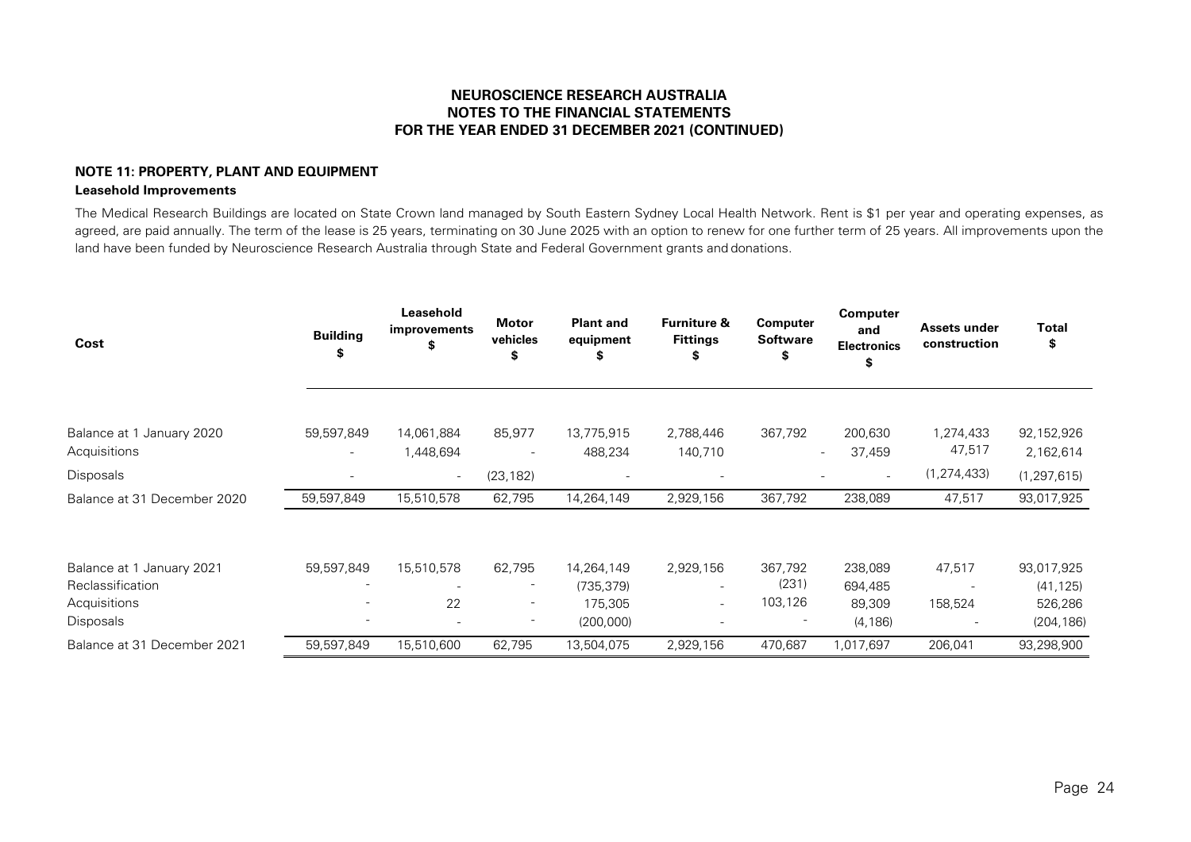# **NOTE 11: PROPERTY, PLANT AND EQUIPMENT Leasehold Improvements**

The Medical Research Buildings are located on State Crown land managed by South Eastern Sydney Local Health Network. Rent is \$1 per year and operating expenses, as agreed, are paid annually. The term of the lease is 25 years, terminating on 30 June 2025 with an option to renew for one further term of 25 years. All improvements upon the land have been funded by Neuroscience Research Australia through State and Federal Government grants and donations.

| Cost                                          | <b>Building</b><br>Ъ | Leasehold<br>improvements<br>S        | <b>Motor</b><br>vehicles<br>S. | <b>Plant and</b><br>equipment | <b>Furniture &amp;</b><br><b>Fittings</b> | <b>Computer</b><br><b>Software</b> | <b>Computer</b><br>and<br><b>Electronics</b><br>\$             | Assets under<br>construction | Total<br>\$                |
|-----------------------------------------------|----------------------|---------------------------------------|--------------------------------|-------------------------------|-------------------------------------------|------------------------------------|----------------------------------------------------------------|------------------------------|----------------------------|
| Balance at 1 January 2020                     | 59,597,849           | 14,061,884                            | 85,977                         | 13,775,915                    | 2,788,446                                 | 367,792                            | 200,630                                                        | 1,274,433<br>47,517          | 92,152,926                 |
| Acquisitions<br>Disposals                     |                      | 1,448,694<br>$\overline{\phantom{a}}$ | (23, 182)                      | 488,234                       | 140,710                                   |                                    | 37,459<br>$\overline{\phantom{a}}$<br>$\overline{\phantom{0}}$ | (1, 274, 433)                | 2,162,614<br>(1, 297, 615) |
| Balance at 31 December 2020                   | 59,597,849           | 15,510,578                            | 62,795                         | 14,264,149                    | 2,929,156                                 | 367,792                            | 238,089                                                        | 47,517                       | 93,017,925                 |
| Balance at 1 January 2021<br>Reclassification | 59,597,849           | 15,510,578                            | 62,795                         | 14,264,149<br>(735, 379)      | 2,929,156                                 | 367,792<br>(231)                   | 238,089<br>694,485                                             | 47,517                       | 93,017,925<br>(41, 125)    |
| Acquisitions<br>Disposals                     |                      | 22<br>$\overline{\phantom{a}}$        | -                              | 175,305<br>(200,000)          | $\sim$                                    | 103,126                            | 89,309<br>(4, 186)                                             | 158,524                      | 526,286<br>(204, 186)      |
| Balance at 31 December 2021                   | 59,597,849           | 15,510,600                            | 62,795                         | 13,504,075                    | 2,929,156                                 | 470,687                            | 1,017,697                                                      | 206,041                      | 93,298,900                 |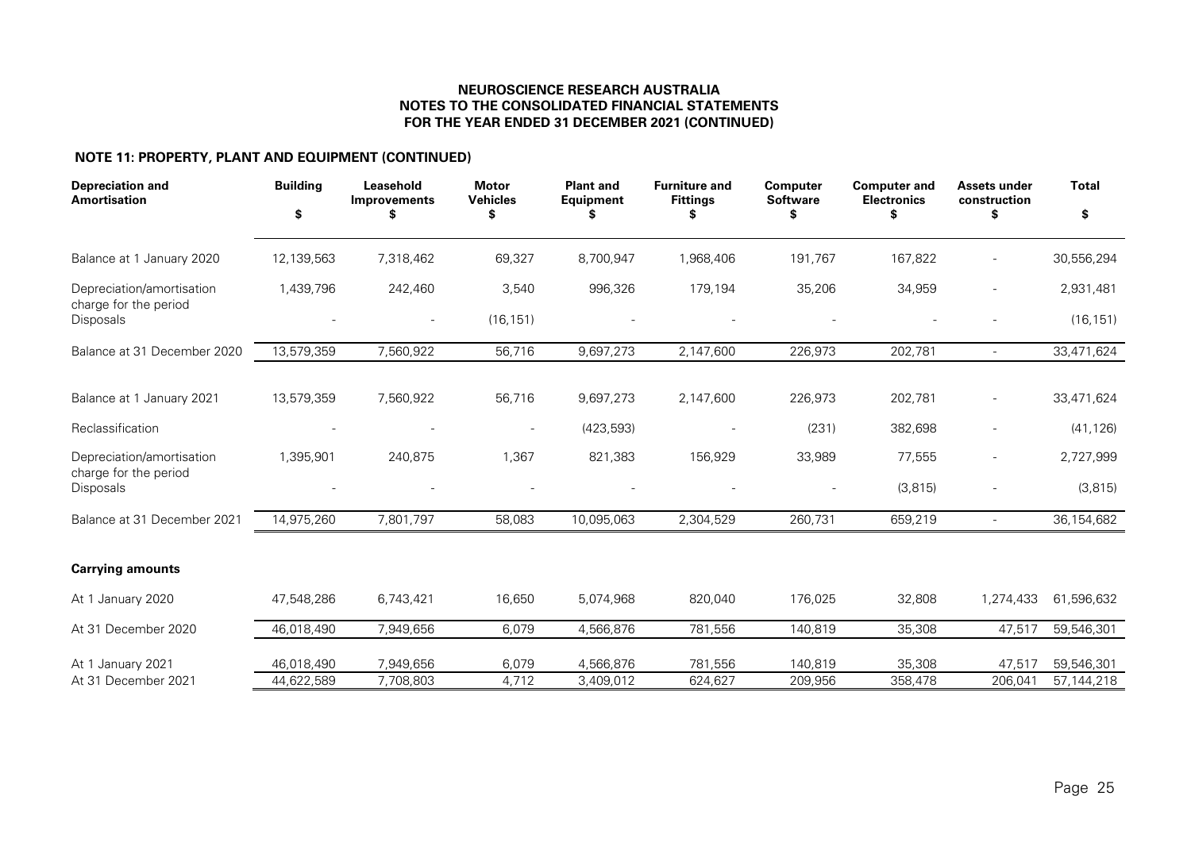# **NOTE 11: PROPERTY, PLANT AND EQUIPMENT (CONTINUED)**

| <b>Depreciation and</b><br><b>Amortisation</b>     | <b>Building</b><br>\$ | Leasehold<br>Improvements | <b>Motor</b><br><b>Vehicles</b><br>\$ | <b>Plant and</b><br><b>Equipment</b><br>Ъ | <b>Furniture and</b><br><b>Fittings</b> | <b>Computer</b><br><b>Software</b><br>S | <b>Computer and</b><br><b>Electronics</b> | <b>Assets under</b><br>construction<br>\$ | <b>Total</b><br>\$ |
|----------------------------------------------------|-----------------------|---------------------------|---------------------------------------|-------------------------------------------|-----------------------------------------|-----------------------------------------|-------------------------------------------|-------------------------------------------|--------------------|
| Balance at 1 January 2020                          | 12,139,563            | 7,318,462                 | 69,327                                | 8,700,947                                 | 1,968,406                               | 191,767                                 | 167,822                                   |                                           | 30,556,294         |
| Depreciation/amortisation<br>charge for the period | 1,439,796             | 242,460                   | 3,540                                 | 996,326                                   | 179,194                                 | 35,206                                  | 34,959                                    | $\blacksquare$                            | 2,931,481          |
| <b>Disposals</b>                                   |                       | $\qquad \qquad -$         | (16, 151)                             |                                           |                                         |                                         |                                           |                                           | (16, 151)          |
| Balance at 31 December 2020                        | 13,579,359            | 7,560,922                 | 56,716                                | 9,697,273                                 | 2,147,600                               | 226,973                                 | 202,781                                   | $\overline{\phantom{a}}$                  | 33,471,624         |
| Balance at 1 January 2021                          | 13,579,359            | 7,560,922                 | 56,716                                | 9,697,273                                 | 2,147,600                               | 226,973                                 | 202,781                                   |                                           | 33,471,624         |
| Reclassification                                   |                       |                           | $\overline{\phantom{a}}$              | (423, 593)                                |                                         | (231)                                   | 382,698                                   | $\overline{\phantom{0}}$                  | (41, 126)          |
| Depreciation/amortisation<br>charge for the period | 1,395,901             | 240,875                   | 1,367                                 | 821,383                                   | 156,929                                 | 33,989                                  | 77,555                                    |                                           | 2,727,999          |
| Disposals                                          |                       |                           |                                       |                                           |                                         |                                         | (3, 815)                                  |                                           | (3, 815)           |
| Balance at 31 December 2021                        | 14,975,260            | 7,801,797                 | 58,083                                | 10,095,063                                | 2,304,529                               | 260,731                                 | 659,219                                   | $\overline{\phantom{a}}$                  | 36,154,682         |
| <b>Carrying amounts</b>                            |                       |                           |                                       |                                           |                                         |                                         |                                           |                                           |                    |
| At 1 January 2020                                  | 47,548,286            | 6,743,421                 | 16,650                                | 5,074,968                                 | 820,040                                 | 176,025                                 | 32,808                                    | 1,274,433                                 | 61,596,632         |
| At 31 December 2020                                | 46,018,490            | 7,949,656                 | 6,079                                 | 4,566,876                                 | 781,556                                 | 140,819                                 | 35,308                                    | 47,517                                    | 59,546,301         |
| At 1 January 2021                                  | 46,018,490            | 7,949,656                 | 6,079                                 | 4,566,876                                 | 781,556                                 | 140,819                                 | 35,308                                    | 47,517                                    | 59,546,301         |
| At 31 December 2021                                | 44,622,589            | 7,708,803                 | 4,712                                 | 3,409,012                                 | 624,627                                 | 209,956                                 | 358,478                                   | 206,041                                   | 57, 144, 218       |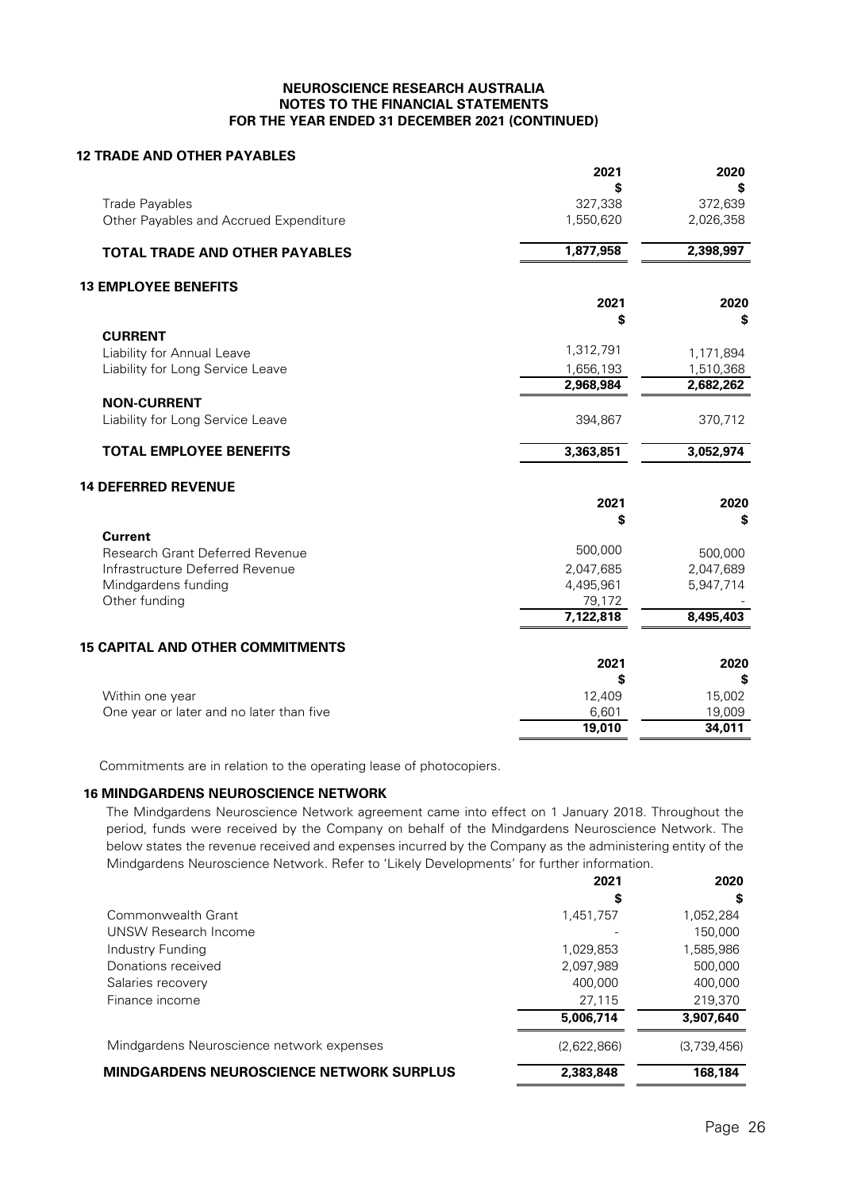# **12 TRADE AND OTHER PAYABLES**

|                                          | 2021                   | 2020                   |
|------------------------------------------|------------------------|------------------------|
| <b>Trade Payables</b>                    | 327,338                | 372,639                |
| Other Payables and Accrued Expenditure   | 1,550,620              | 2,026,358              |
| <b>TOTAL TRADE AND OTHER PAYABLES</b>    | 1,877,958              | 2,398,997              |
| <b>13 EMPLOYEE BENEFITS</b>              |                        |                        |
|                                          | 2021                   | 2020                   |
|                                          | \$                     | \$                     |
| <b>CURRENT</b>                           |                        |                        |
| Liability for Annual Leave               | 1,312,791              | 1,171,894              |
| Liability for Long Service Leave         | 1,656,193<br>2,968,984 | 1,510,368<br>2,682,262 |
| <b>NON-CURRENT</b>                       |                        |                        |
| Liability for Long Service Leave         | 394,867                | 370,712                |
| <b>TOTAL EMPLOYEE BENEFITS</b>           | 3,363,851              | 3,052,974              |
| <b>14 DEFERRED REVENUE</b>               |                        |                        |
|                                          | 2021                   | 2020                   |
|                                          | \$                     | \$                     |
| <b>Current</b>                           |                        |                        |
| Research Grant Deferred Revenue          | 500,000                | 500,000                |
| Infrastructure Deferred Revenue          | 2,047,685              | 2,047,689              |
| Mindgardens funding                      | 4,495,961              | 5,947,714              |
| Other funding                            | 79,172                 |                        |
|                                          | 7,122,818              | 8,495,403              |
| <b>15 CAPITAL AND OTHER COMMITMENTS</b>  |                        |                        |
|                                          | 2021                   | 2020                   |
|                                          | S                      | S                      |
| Within one year                          | 12,409                 | 15,002                 |
| One year or later and no later than five | 6,601                  | 19,009                 |
|                                          | 19,010                 | 34,011                 |

Commitments are in relation to the operating lease of photocopiers.

### **16 MINDGARDENS NEUROSCIENCE NETWORK**

The Mindgardens Neuroscience Network agreement came into effect on 1 January 2018. Throughout the period, funds were received by the Company on behalf of the Mindgardens Neuroscience Network. The below states the revenue received and expenses incurred by the Company as the administering entity of the Mindgardens Neuroscience Network. Refer to 'Likely Developments' for further information.

|                                                 | 2021        | 2020        |
|-------------------------------------------------|-------------|-------------|
|                                                 | \$          | S           |
| Commonwealth Grant                              | 1,451,757   | 1,052,284   |
| UNSW Research Income                            |             | 150,000     |
| Industry Funding                                | 1,029,853   | 1,585,986   |
| Donations received                              | 2,097,989   | 500,000     |
| Salaries recovery                               | 400,000     | 400,000     |
| Finance income                                  | 27,115      | 219,370     |
|                                                 | 5,006,714   | 3,907,640   |
| Mindgardens Neuroscience network expenses       | (2,622,866) | (3,739,456) |
| <b>MINDGARDENS NEUROSCIENCE NETWORK SURPLUS</b> | 2,383,848   | 168,184     |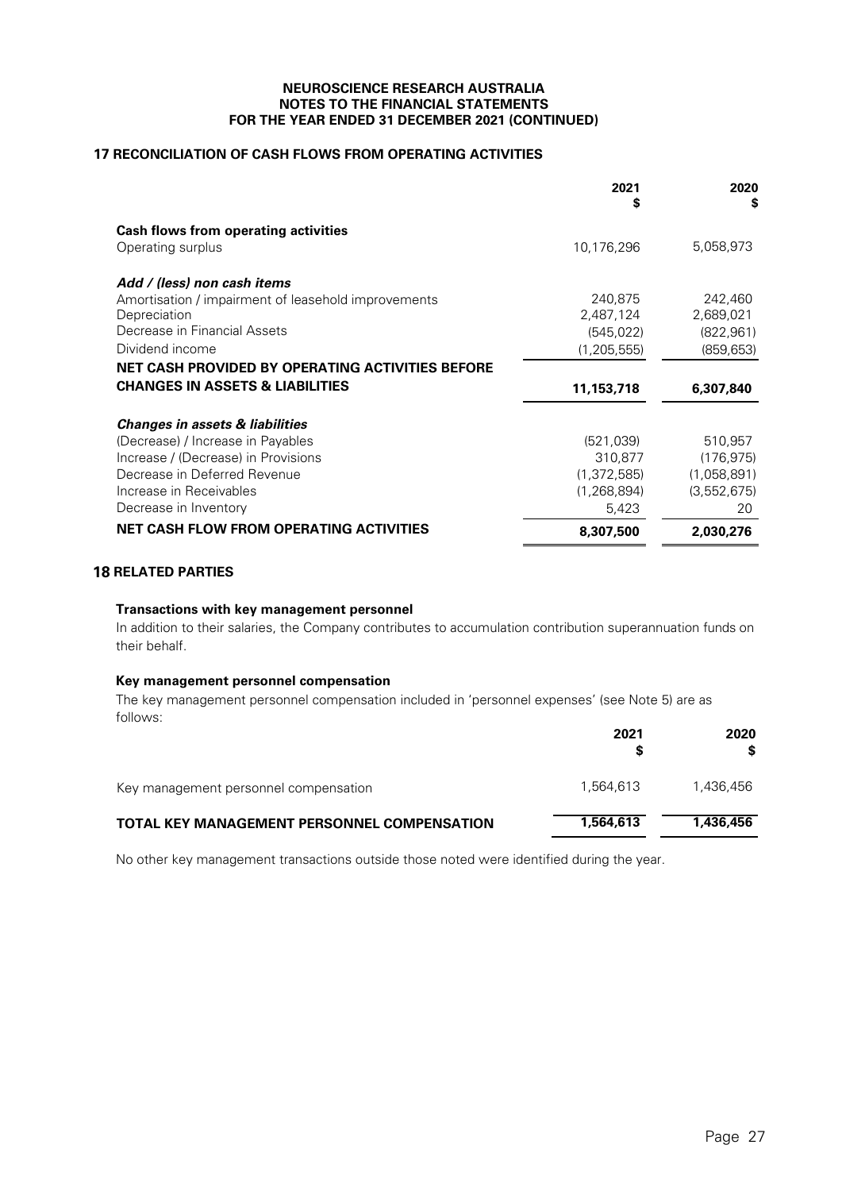# **17 RECONCILIATION OF CASH FLOWS FROM OPERATING ACTIVITIES**

|                                                     | 2021<br>S     | 2020<br>S   |
|-----------------------------------------------------|---------------|-------------|
| <b>Cash flows from operating activities</b>         |               |             |
| Operating surplus                                   | 10,176,296    | 5,058,973   |
| Add / (less) non cash items                         |               |             |
| Amortisation / impairment of leasehold improvements | 240,875       | 242,460     |
| Depreciation                                        | 2,487,124     | 2,689,021   |
| Decrease in Financial Assets                        | (545, 022)    | (822, 961)  |
| Dividend income                                     | (1, 205, 555) | (859, 653)  |
| NET CASH PROVIDED BY OPERATING ACTIVITIES BEFORE    |               |             |
| <b>CHANGES IN ASSETS &amp; LIABILITIES</b>          | 11,153,718    | 6,307,840   |
| <b>Changes in assets &amp; liabilities</b>          |               |             |
| (Decrease) / Increase in Payables                   | (521, 039)    | 510,957     |
| Increase / (Decrease) in Provisions                 | 310,877       | (176.975)   |
| Decrease in Deferred Revenue                        | (1, 372, 585) | (1,058,891) |
| Increase in Receivables                             | (1, 268, 894) | (3,552,675) |
| Decrease in Inventory                               | 5,423         | 20          |
| <b>NET CASH FLOW FROM OPERATING ACTIVITIES</b>      | 8,307,500     | 2,030,276   |

# **18 RELATED PARTIES**

### **Transactions with key management personnel**

In addition to their salaries, the Company contributes to accumulation contribution superannuation funds on their behalf.

# **Key management personnel compensation**

The key management personnel compensation included in 'personnel expenses' (see Note 5) are as follows:

|                                                    | 2021<br>S | 2020<br>S. |
|----------------------------------------------------|-----------|------------|
| Key management personnel compensation              | 1.564.613 | 1,436,456  |
| <b>TOTAL KEY MANAGEMENT PERSONNEL COMPENSATION</b> | 1,564,613 | 1,436,456  |

No other key management transactions outside those noted were identified during the year.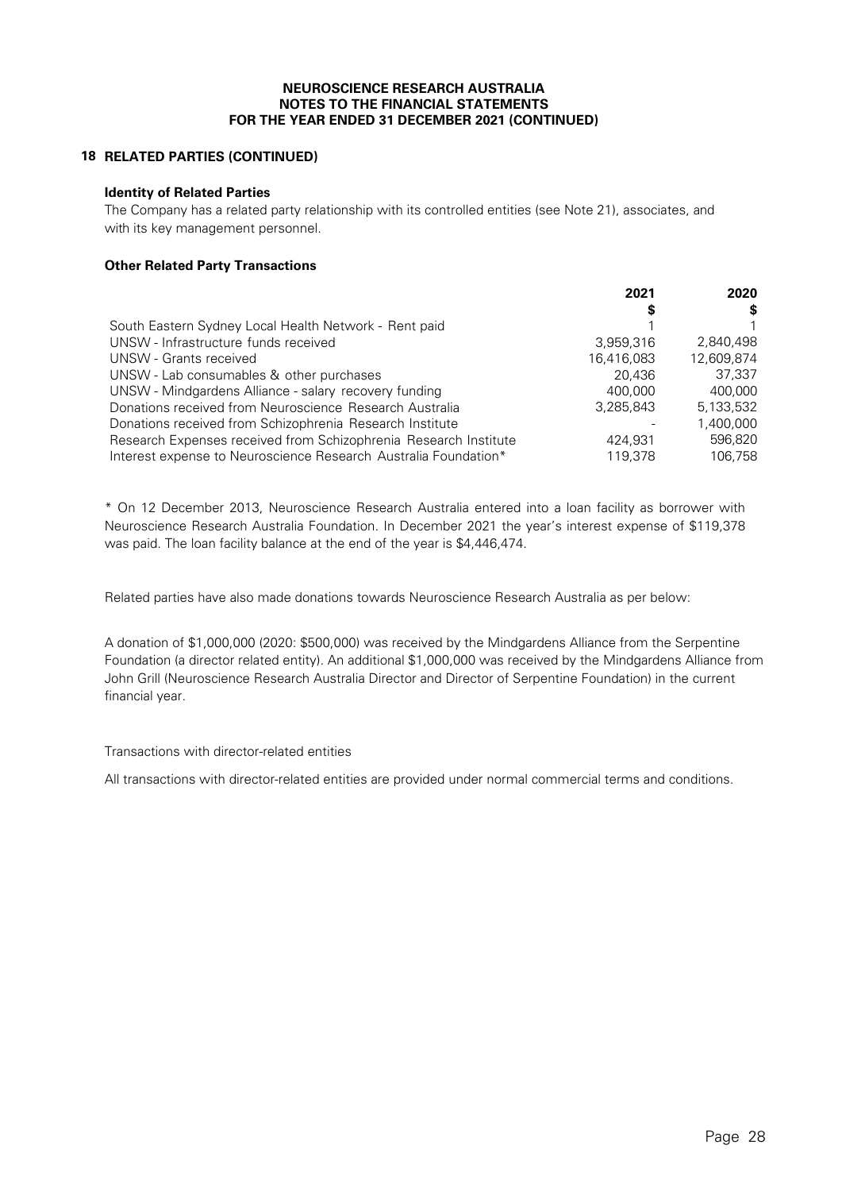# **18 RELATED PARTIES (CONTINUED)**

### **Identity of Related Parties**

The Company has a related party relationship with its controlled entities (see Note 21), associates, and with its key management personnel.

# **Other Related Party Transactions**

|                                                                  | 2021       | 2020       |
|------------------------------------------------------------------|------------|------------|
|                                                                  | S          | S          |
| South Eastern Sydney Local Health Network - Rent paid            |            |            |
| UNSW - Infrastructure funds received                             | 3,959,316  | 2.840.498  |
| UNSW - Grants received                                           | 16.416.083 | 12.609.874 |
| UNSW - Lab consumables & other purchases                         | 20.436     | 37.337     |
| UNSW - Mindgardens Alliance - salary recovery funding            | 400.000    | 400.000    |
| Donations received from Neuroscience Research Australia          | 3.285.843  | 5.133.532  |
| Donations received from Schizophrenia Research Institute         |            | 1,400,000  |
| Research Expenses received from Schizophrenia Research Institute | 424.931    | 596,820    |
| Interest expense to Neuroscience Research Australia Foundation*  | 119,378    | 106.758    |

\* On 12 December 2013, Neuroscience Research Australia entered into a loan facility as borrower with Neuroscience Research Australia Foundation. In December 2021 the year's interest expense of \$119,378 was paid. The loan facility balance at the end of the year is \$4,446,474.

Related parties have also made donations towards Neuroscience Research Australia as per below:

A donation of \$1,000,000 (2020: \$500,000) was received by the Mindgardens Alliance from the Serpentine Foundation (a director related entity). An additional \$1,000,000 was received by the Mindgardens Alliance from John Grill (Neuroscience Research Australia Director and Director of Serpentine Foundation) in the current financial year.

Transactions with director-related entities

All transactions with director-related entities are provided under normal commercial terms and conditions.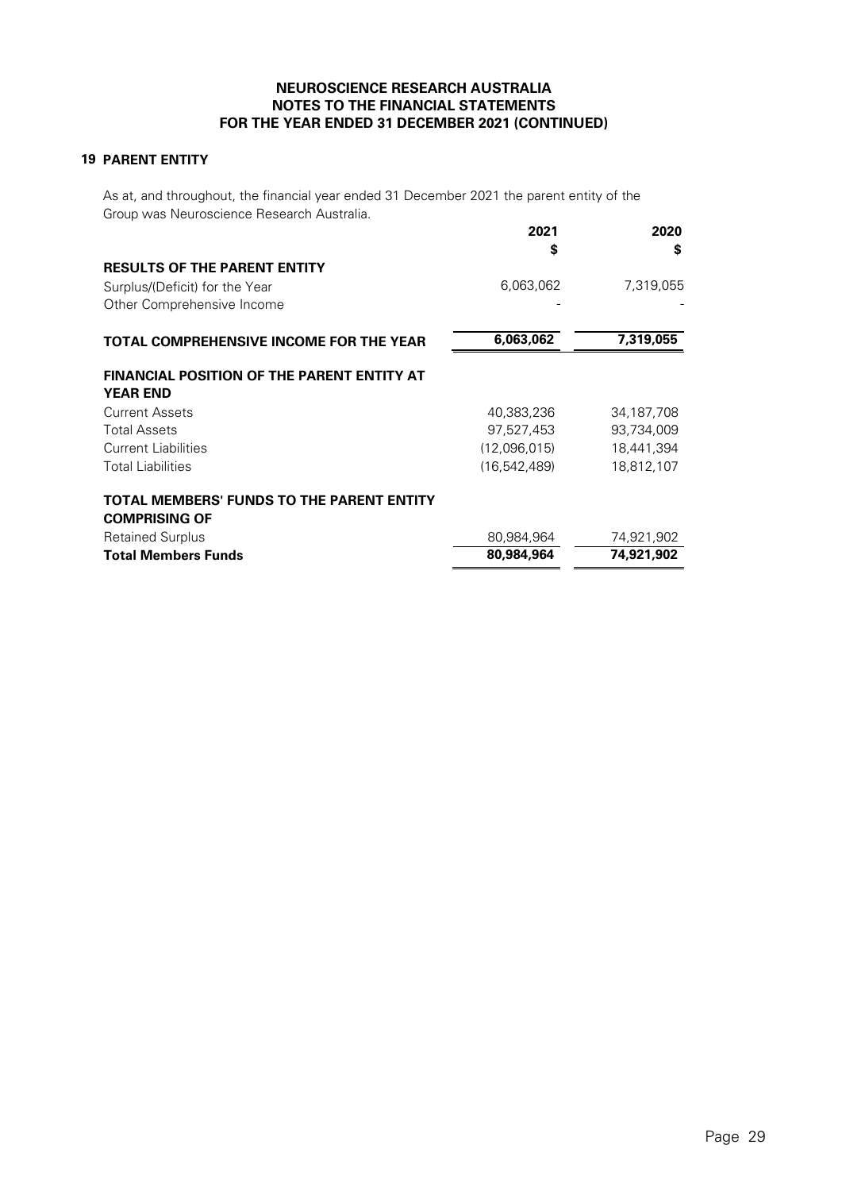# **19 PARENT ENTITY**

As at, and throughout, the financial year ended 31 December 2021 the parent entity of the Group was Neuroscience Research Australia.

|                                                                          | 2021<br>S      | 2020<br>S  |
|--------------------------------------------------------------------------|----------------|------------|
| <b>RESULTS OF THE PARENT ENTITY</b>                                      |                |            |
| Surplus/(Deficit) for the Year                                           | 6,063,062      | 7,319,055  |
| Other Comprehensive Income                                               |                |            |
| <b>TOTAL COMPREHENSIVE INCOME FOR THE YEAR</b>                           | 6,063,062      | 7,319,055  |
| <b>FINANCIAL POSITION OF THE PARENT ENTITY AT</b><br><b>YEAR END</b>     |                |            |
| <b>Current Assets</b>                                                    | 40,383,236     | 34,187,708 |
| <b>Total Assets</b>                                                      | 97,527,453     | 93,734,009 |
| Current Liabilities                                                      | (12,096,015)   | 18,441,394 |
| <b>Total Liabilities</b>                                                 | (16, 542, 489) | 18,812,107 |
| <b>TOTAL MEMBERS' FUNDS TO THE PARENT ENTITY</b><br><b>COMPRISING OF</b> |                |            |
| <b>Retained Surplus</b>                                                  | 80,984,964     | 74,921,902 |
| <b>Total Members Funds</b>                                               | 80,984,964     | 74,921,902 |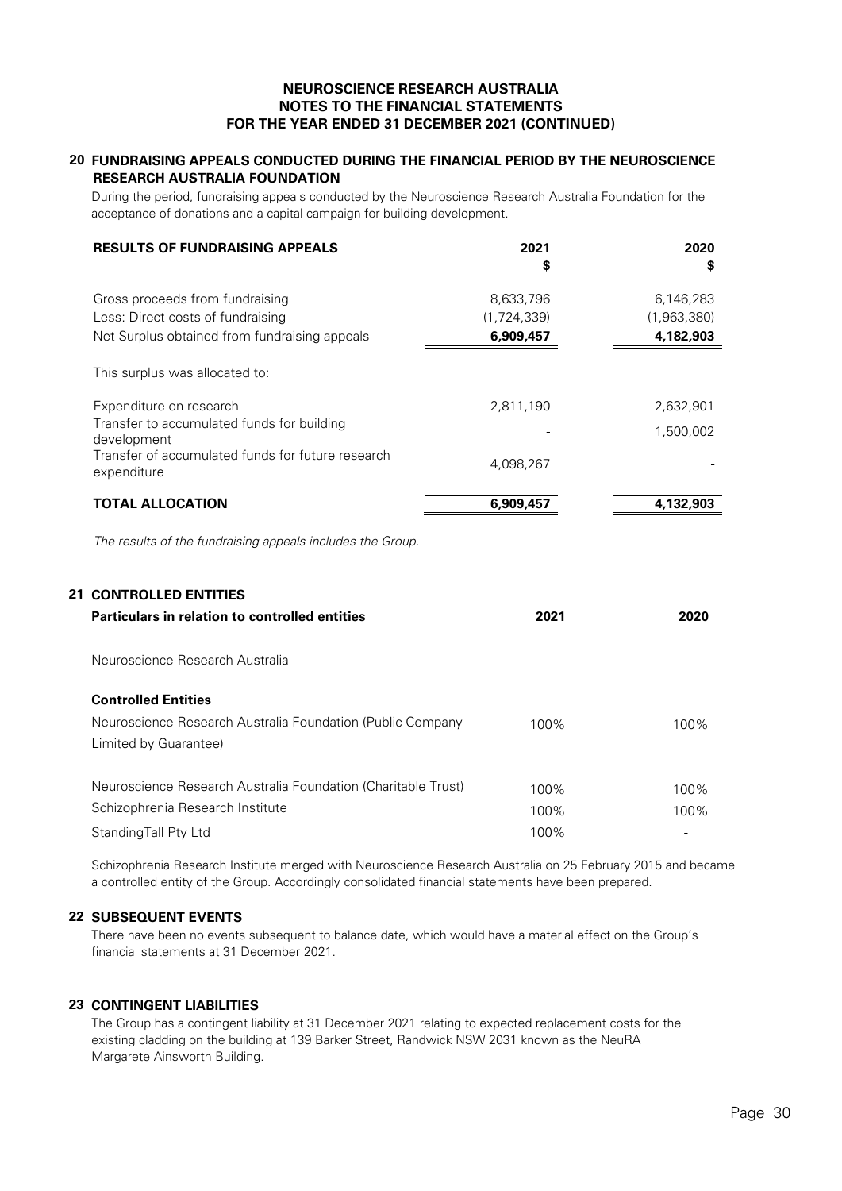# **20 FUNDRAISING APPEALS CONDUCTED DURING THE FINANCIAL PERIOD BY THE NEUROSCIENCE RESEARCH AUSTRALIA FOUNDATION**

During the period, fundraising appeals conducted by the Neuroscience Research Australia Foundation for the acceptance of donations and a capital campaign for building development.

| <b>RESULTS OF FUNDRAISING APPEALS</b>                            | 2021<br>\$  | 2020<br>S   |
|------------------------------------------------------------------|-------------|-------------|
| Gross proceeds from fundraising                                  | 8,633,796   | 6,146,283   |
| Less: Direct costs of fundraising                                | (1,724,339) | (1,963,380) |
| Net Surplus obtained from fundraising appeals                    | 6,909,457   | 4,182,903   |
| This surplus was allocated to:                                   |             |             |
| Expenditure on research                                          | 2,811,190   | 2,632,901   |
| Transfer to accumulated funds for building<br>development        |             | 1,500,002   |
| Transfer of accumulated funds for future research<br>expenditure | 4,098,267   |             |
| <b>TOTAL ALLOCATION</b>                                          | 6,909,457   | 4,132,903   |
| The results of the fundraising appeals includes the Group.       |             |             |
| <b>21 CONTROLLED ENTITIES</b>                                    |             |             |
| <b>Particulars in relation to controlled entities</b>            | 2021        | 2020        |
| Neuroscience Research Australia                                  |             |             |

#### **Controlled Entities**

| <b>CONTROLLED ENTIRES</b>                                     |      |      |
|---------------------------------------------------------------|------|------|
| Neuroscience Research Australia Foundation (Public Company    | 100% | 100% |
| Limited by Guarantee)                                         |      |      |
| Neuroscience Research Australia Foundation (Charitable Trust) | 100% | 100% |
| Schizophrenia Research Institute                              | 100% | 100% |
| Standing Tall Pty Ltd                                         | 100% |      |

Schizophrenia Research Institute merged with Neuroscience Research Australia on 25 February 2015 and became a controlled entity of the Group. Accordingly consolidated financial statements have been prepared.

### **22 SUBSEQUENT EVENTS**

There have been no events subsequent to balance date, which would have a material effect on the Group's financial statements at 31 December 2021.

# **23 CONTINGENT LIABILITIES**

The Group has a contingent liability at 31 December 2021 relating to expected replacement costs for the existing cladding on the building at 139 Barker Street, Randwick NSW 2031 known as the NeuRA Margarete Ainsworth Building.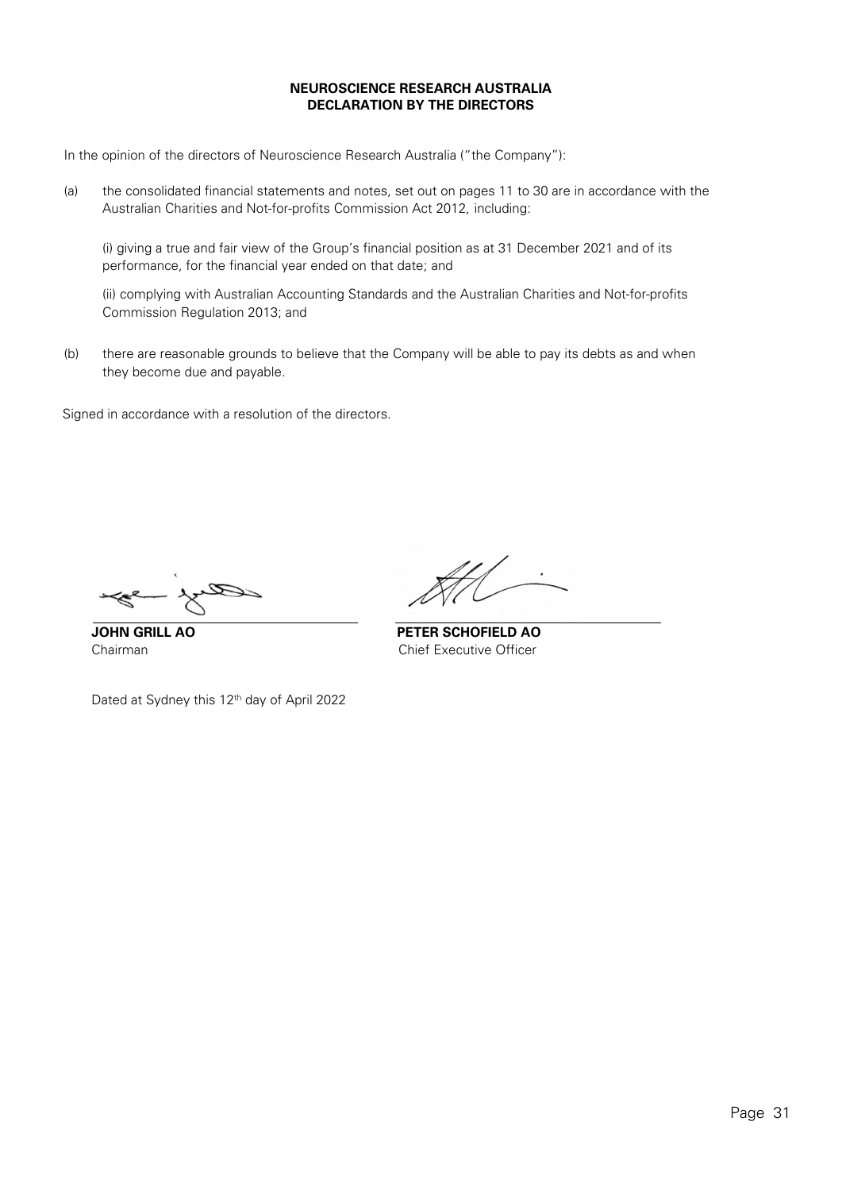# **NEUROSCIENCE RESEARCH AUSTRALIA DECLARATION BY THE DIRECTORS**

In the opinion of the directors of Neuroscience Research Australia ("the Company"):

(a) the consolidated financial statements and notes, set out on pages 11 to 30 are in accordance with the Australian Charities and Not-for-profits Commission Act 2012, including:

(i) giving a true and fair view of the Group's financial position as at 31 December 2021 and of its performance, for the financial year ended on that date; and

(ii) complying with Australian Accounting Standards and the Australian Charities and Not-for-profits Commission Regulation 2013; and

(b) there are reasonable grounds to believe that the Company will be able to pay its debts as and when they become due and payable.

Signed in accordance with a resolution of the directors.

**JOHN GRILL AO PETER SCHOFIELD AO** Chairman Chief Executive Officer

Dated at Sydney this 12<sup>th</sup> day of April 2022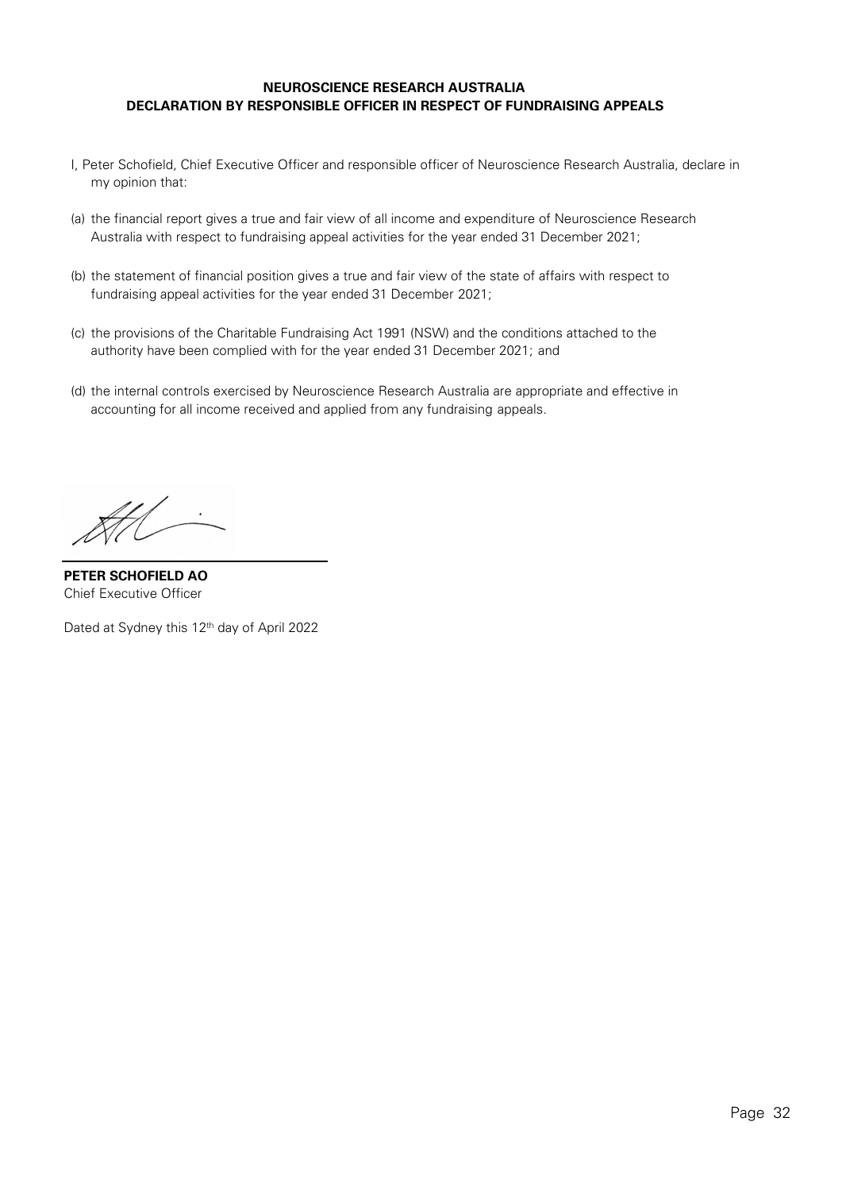# **NEUROSCIENCE RESEARCH AUSTRALIA DECLARATION BY RESPONSIBLE OFFICER IN RESPECT OF FUNDRAISING APPEALS**

- <span id="page-31-0"></span>I, Peter Schofield, Chief Executive Officer and responsible officer of Neuroscience Research Australia, declare in my opinion that:
- (a) the financial report gives a true and fair view of all income and expenditure of Neuroscience Research Australia with respect to fundraising appeal activities for the year ended 31 December 2021;
- (b) the statement of financial position gives a true and fair view of the state of affairs with respect to fundraising appeal activities for the year ended 31 December 2021;
- (c) the provisions of the Charitable Fundraising Act 1991 (NSW) and the conditions attached to the authority have been complied with for the year ended 31 December 2021; and
- (d) the internal controls exercised by Neuroscience Research Australia are appropriate and effective in accounting for all income received and applied from any fundraising appeals.

HH -

**PETER SCHOFIELD AO** Chief Executive Officer

Dated at Sydney this 12<sup>th</sup> day of April 2022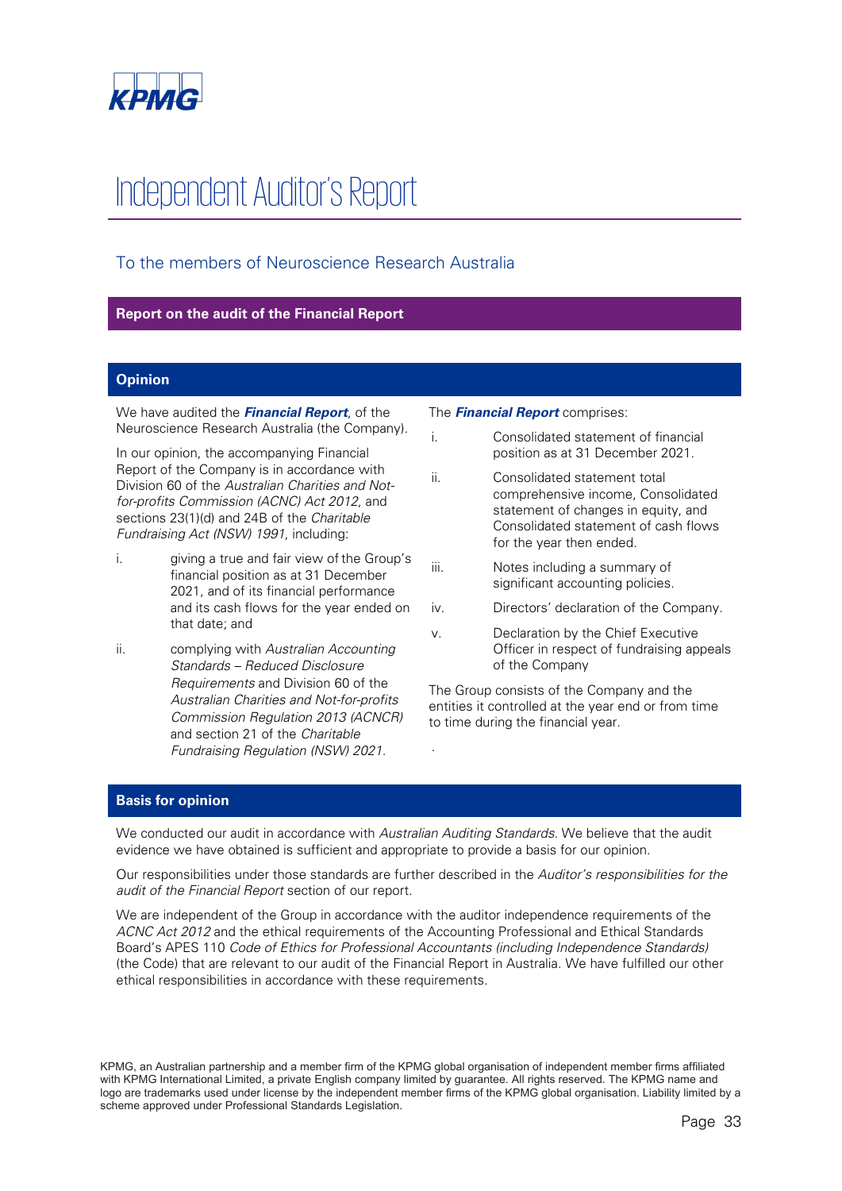

# Independent Auditor's Report

# To the members of Neuroscience Research Australia

# **Report on the audit of the Financial Report**

# **Opinion**

We have audited the **Financial Report**, of the Neuroscience Research Australia (the Company).

In our opinion, the accompanying Financial Report of the Company is in accordance with Division 60 of the Australian Charities and Notfor-profits Commission (ACNC) Act 2012, and sections 23(1)(d) and 24B of the Charitable Fundraising Act (NSW) 1991, including:

- i. giving a true and fair view of the Group's financial position as at 31 December 2021, and of its financial performance and its cash flows for the year ended on that date; and
- ii. complying with Australian Accounting Standards – Reduced Disclosure Requirements and Division 60 of the Australian Charities and Not-for-profits Commission Regulation 2013 (ACNCR) and section 21 of the Charitable Fundraising Regulation (NSW) 2021.

#### The **Financial Report** comprises:

- i. Consolidated statement of financial position as at 31 December 2021.
- ii. Consolidated statement total comprehensive income, Consolidated statement of changes in equity, and Consolidated statement of cash flows for the year then ended.
- iii. Notes including a summary of significant accounting policies.
- iv. Directors' declaration of the Company.
- v. Declaration by the Chief Executive Officer in respect of fundraising appeals of the Company

The Group consists of the Company and the entities it controlled at the year end or from time to time during the financial year.

# **Basis for opinion**

We conducted our audit in accordance with Australian Auditing Standards. We believe that the audit evidence we have obtained is sufficient and appropriate to provide a basis for our opinion.

Our responsibilities under those standards are further described in the Auditor's responsibilities for the audit of the Financial Report section of our report.

.

We are independent of the Group in accordance with the auditor independence requirements of the ACNC Act 2012 and the ethical requirements of the Accounting Professional and Ethical Standards Board's APES 110 Code of Ethics for Professional Accountants (including Independence Standards) (the Code) that are relevant to our audit of the Financial Report in Australia. We have fulfilled our other ethical responsibilities in accordance with these requirements.

KPMG, an Australian partnership and a member firm of the KPMG global organisation of independent member firms affiliated with KPMG International Limited, a private English company limited by guarantee. All rights reserved. The KPMG name and logo are trademarks used under license by the independent member firms of the KPMG global organisation. Liability limited by a scheme approved under Professional Standards Legislation.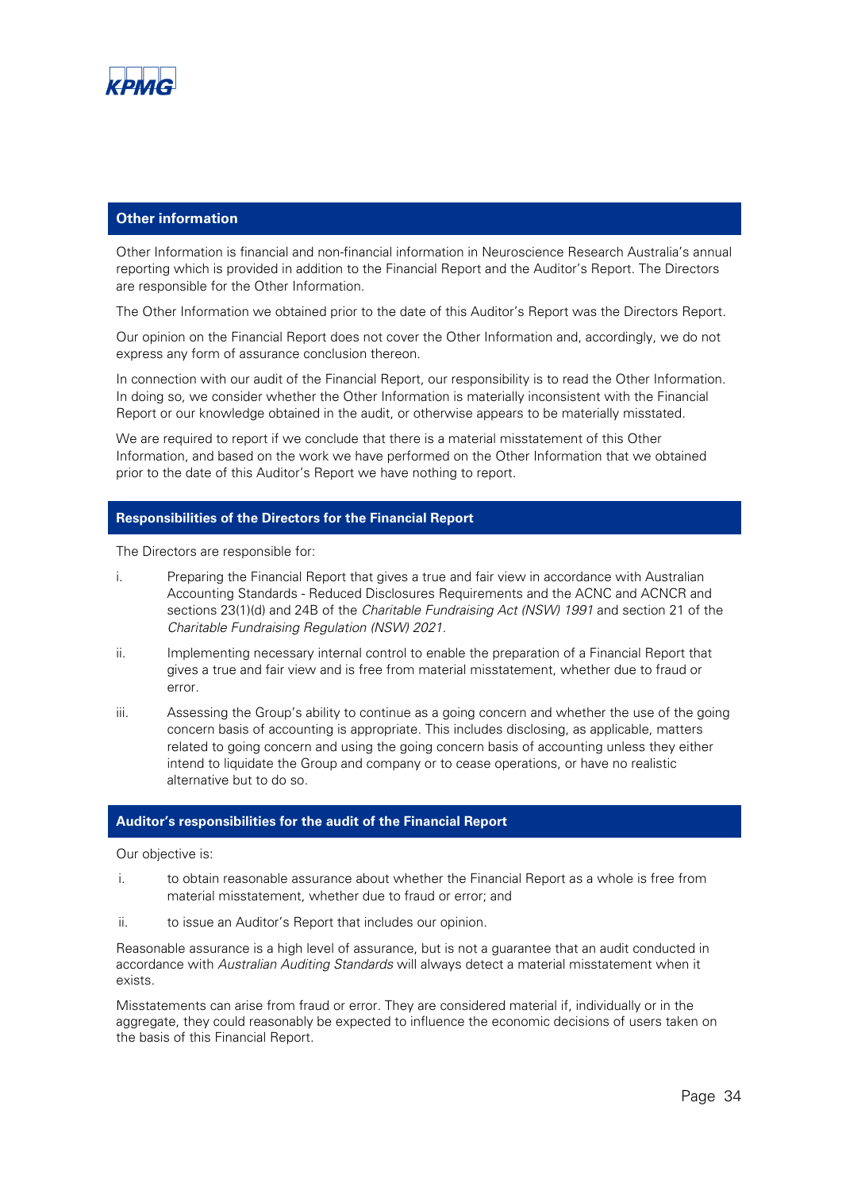

### **Other information**

Other Information is financial and non-financial information in Neuroscience Research Australia's annual reporting which is provided in addition to the Financial Report and the Auditor's Report. The Directors are responsible for the Other Information.

The Other Information we obtained prior to the date of this Auditor's Report was the Directors Report.

Our opinion on the Financial Report does not cover the Other Information and, accordingly, we do not express any form of assurance conclusion thereon.

In connection with our audit of the Financial Report, our responsibility is to read the Other Information. In doing so, we consider whether the Other Information is materially inconsistent with the Financial Report or our knowledge obtained in the audit, or otherwise appears to be materially misstated.

We are required to report if we conclude that there is a material misstatement of this Other Information, and based on the work we have performed on the Other Information that we obtained prior to the date of this Auditor's Report we have nothing to report.

### **Responsibilities of the Directors for the Financial Report**

The Directors are responsible for:

- i. Preparing the Financial Report that gives a true and fair view in accordance with Australian Accounting Standards - Reduced Disclosures Requirements and the ACNC and ACNCR and sections 23(1)(d) and 24B of the Charitable Fundraising Act (NSW) 1991 and section 21 of the Charitable Fundraising Regulation (NSW) 2021.
- ii. Implementing necessary internal control to enable the preparation of a Financial Report that gives a true and fair view and is free from material misstatement, whether due to fraud or error.
- iii. Assessing the Group's ability to continue as a going concern and whether the use of the going concern basis of accounting is appropriate. This includes disclosing, as applicable, matters related to going concern and using the going concern basis of accounting unless they either intend to liquidate the Group and company or to cease operations, or have no realistic alternative but to do so.

# **Auditor's responsibilities for the audit of the Financial Report**

Our objective is:

- i. to obtain reasonable assurance about whether the Financial Report as a whole is free from material misstatement, whether due to fraud or error; and
- ii. to issue an Auditor's Report that includes our opinion.

Reasonable assurance is a high level of assurance, but is not a guarantee that an audit conducted in accordance with Australian Auditing Standards will always detect a material misstatement when it exists.

Misstatements can arise from fraud or error. They are considered material if, individually or in the aggregate, they could reasonably be expected to influence the economic decisions of users taken on the basis of this Financial Report.